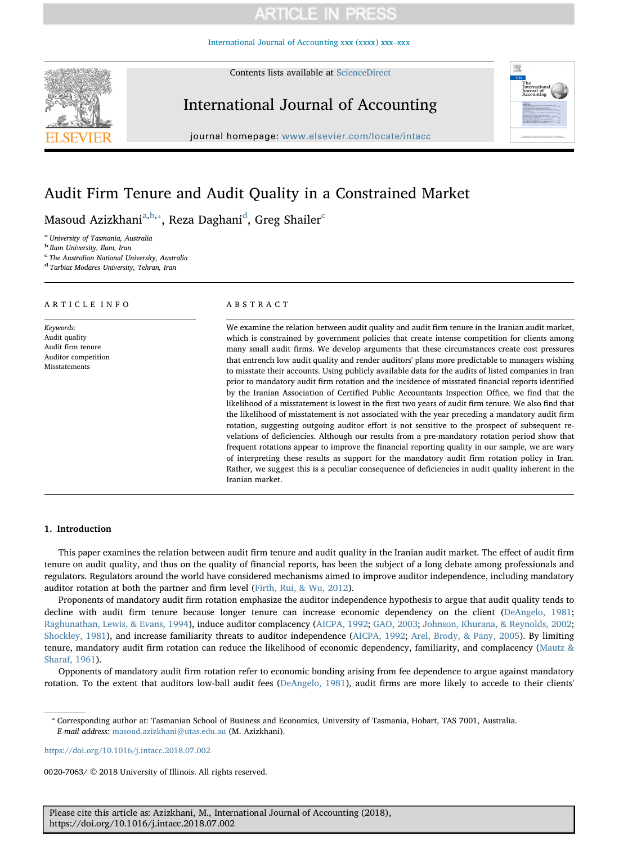[International Journal of Accounting xxx \(xxxx\) xxx–xxx](https://doi.org/10.1016/j.intacc.2018.07.002)



Contents lists available at [ScienceDirect](http://www.sciencedirect.com/science/journal/00207063)

# International Journal of Accounting



journal homepage: [www.elsevier.com/locate/intacc](https://www.elsevier.com/locate/intacc)

# Audit Firm Tenure and Audit Quality in a Constrained Market

M[a](#page-0-0)sou[d](#page-0-3) Azizkhani $a,b,*$  $a,b,*$  $a,b,*$ , Reza Daghani $^d$ , Greg Shailer $^c$  $^c$ 

<span id="page-0-0"></span><sup>a</sup> University of Tasmania, Australia

<span id="page-0-1"></span><sup>b</sup> Ilam University, Ilam, Iran

<span id="page-0-4"></span>c The Australian National University, Australia

<span id="page-0-3"></span><sup>d</sup> Tarbiat Modares University, Tehran, Iran

## ARTICLE INFO

Keywords: Audit quality Audit firm tenure Auditor competition Misstatements

## ABSTRACT

We examine the relation between audit quality and audit firm tenure in the Iranian audit market, which is constrained by government policies that create intense competition for clients among many small audit firms. We develop arguments that these circumstances create cost pressures that entrench low audit quality and render auditors' plans more predictable to managers wishing to misstate their accounts. Using publicly available data for the audits of listed companies in Iran prior to mandatory audit firm rotation and the incidence of misstated financial reports identified by the Iranian Association of Certified Public Accountants Inspection Office, we find that the likelihood of a misstatement is lowest in the first two years of audit firm tenure. We also find that the likelihood of misstatement is not associated with the year preceding a mandatory audit firm rotation, suggesting outgoing auditor effort is not sensitive to the prospect of subsequent revelations of deficiencies. Although our results from a pre-mandatory rotation period show that frequent rotations appear to improve the financial reporting quality in our sample, we are wary of interpreting these results as support for the mandatory audit firm rotation policy in Iran. Rather, we suggest this is a peculiar consequence of deficiencies in audit quality inherent in the Iranian market.

### 1. Introduction

This paper examines the relation between audit firm tenure and audit quality in the Iranian audit market. The effect of audit firm tenure on audit quality, and thus on the quality of financial reports, has been the subject of a long debate among professionals and regulators. Regulators around the world have considered mechanisms aimed to improve auditor independence, including mandatory auditor rotation at both the partner and firm level [\(Firth, Rui, & Wu, 2012](#page-14-0)).

Proponents of mandatory audit firm rotation emphasize the auditor independence hypothesis to argue that audit quality tends to decline with audit firm tenure because longer tenure can increase economic dependency on the client ([DeAngelo, 1981;](#page-14-1) [Raghunathan, Lewis, & Evans, 1994\)](#page-14-2), induce auditor complacency [\(AICPA, 1992;](#page-13-0) [GAO, 2003;](#page-14-3) [Johnson, Khurana, & Reynolds, 2002;](#page-14-4) [Shockley, 1981\)](#page-15-0), and increase familiarity threats to auditor independence ([AICPA, 1992;](#page-13-0) [Arel, Brody, & Pany, 2005](#page-13-1)). By limiting tenure, mandatory audit firm rotation can reduce the likelihood of economic dependency, familiarity, and complacency ([Mautz &](#page-14-5) [Sharaf, 1961](#page-14-5)).

Opponents of mandatory audit firm rotation refer to economic bonding arising from fee dependence to argue against mandatory rotation. To the extent that auditors low-ball audit fees ([DeAngelo, 1981](#page-14-1)), audit firms are more likely to accede to their clients'

<https://doi.org/10.1016/j.intacc.2018.07.002>

0020-7063/ © 2018 University of Illinois. All rights reserved.

<span id="page-0-2"></span><sup>⁎</sup> Corresponding author at: Tasmanian School of Business and Economics, University of Tasmania, Hobart, TAS 7001, Australia. E-mail address: [masoud.azizkhani@utas.edu.au](mailto:masoud.azizkhani@utas.edu.au) (M. Azizkhani).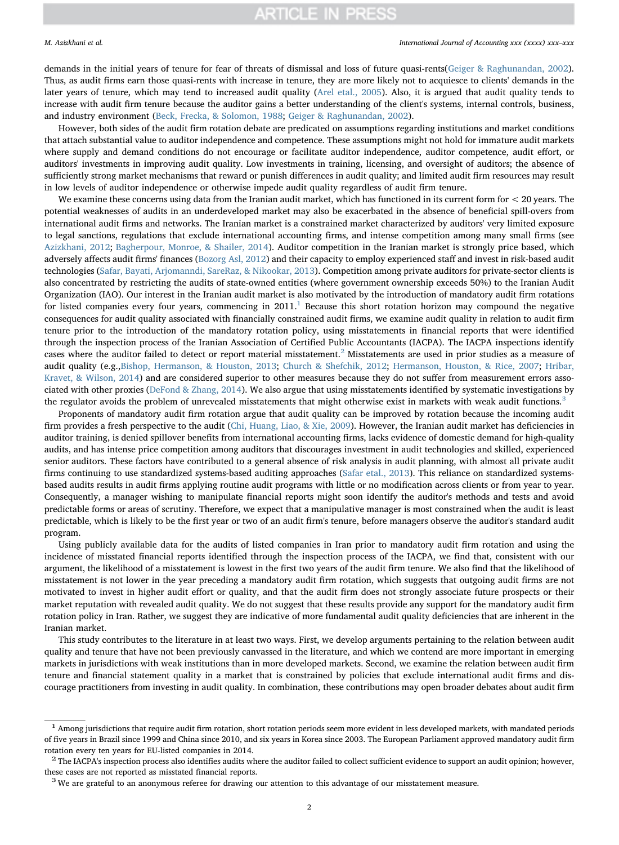demands in the initial years of tenure for fear of threats of dismissal and loss of future quasi-rents[\(Geiger & Raghunandan, 2002\)](#page-14-6). Thus, as audit firms earn those quasi-rents with increase in tenure, they are more likely not to acquiesce to clients' demands in the later years of tenure, which may tend to increased audit quality [\(Arel etal., 2005\)](#page-13-1). Also, it is argued that audit quality tends to increase with audit firm tenure because the auditor gains a better understanding of the client's systems, internal controls, business, and industry environment [\(Beck, Frecka, & Solomon, 1988;](#page-14-7) [Geiger & Raghunandan, 2002](#page-14-6)).

However, both sides of the audit firm rotation debate are predicated on assumptions regarding institutions and market conditions that attach substantial value to auditor independence and competence. These assumptions might not hold for immature audit markets where supply and demand conditions do not encourage or facilitate auditor independence, auditor competence, audit effort, or auditors' investments in improving audit quality. Low investments in training, licensing, and oversight of auditors; the absence of sufficiently strong market mechanisms that reward or punish differences in audit quality; and limited audit firm resources may result in low levels of auditor independence or otherwise impede audit quality regardless of audit firm tenure.

We examine these concerns using data from the Iranian audit market, which has functioned in its current form for  $\leq$  20 years. The potential weaknesses of audits in an underdeveloped market may also be exacerbated in the absence of beneficial spill-overs from international audit firms and networks. The Iranian market is a constrained market characterized by auditors' very limited exposure to legal sanctions, regulations that exclude international accounting firms, and intense competition among many small firms (see [Azizkhani, 2012;](#page-13-2) [Bagherpour, Monroe, & Shailer, 2014](#page-14-8)). Auditor competition in the Iranian market is strongly price based, which adversely affects audit firms' finances ([Bozorg Asl, 2012](#page-14-9)) and their capacity to employ experienced staff and invest in risk-based audit technologies ([Safar, Bayati, Arjomanndi, SareRaz, & Nikookar, 2013\)](#page-15-1). Competition among private auditors for private-sector clients is also concentrated by restricting the audits of state-owned entities (where government ownership exceeds 50%) to the Iranian Audit Organization (IAO). Our interest in the Iranian audit market is also motivated by the introduction of mandatory audit firm rotations for listed companies every four years, commencing in  $2011$ .<sup>1</sup> Because this short rotation horizon may compound the negative consequences for audit quality associated with financially constrained audit firms, we examine audit quality in relation to audit firm tenure prior to the introduction of the mandatory rotation policy, using misstatements in financial reports that were identified through the inspection process of the Iranian Association of Certified Public Accountants (IACPA). The IACPA inspections identify cases where the auditor failed to detect or report material misstatement.<sup>[2](#page-1-1)</sup> Misstatements are used in prior studies as a measure of audit quality (e.g.[,Bishop, Hermanson, & Houston, 2013](#page-14-10); [Church & Shefchik, 2012](#page-14-11); [Hermanson, Houston, & Rice, 2007](#page-14-12); [Hribar,](#page-14-13) [Kravet, & Wilson, 2014\)](#page-14-13) and are considered superior to other measures because they do not suffer from measurement errors associated with other proxies ([DeFond & Zhang, 2014\)](#page-14-14). We also argue that using misstatements identified by systematic investigations by the regulator avoids the problem of unrevealed misstatements that might otherwise exist in markets with weak audit functions.<sup>[3](#page-1-2)</sup>

Proponents of mandatory audit firm rotation argue that audit quality can be improved by rotation because the incoming audit firm provides a fresh perspective to the audit [\(Chi, Huang, Liao, & Xie, 2009](#page-14-15)). However, the Iranian audit market has deficiencies in auditor training, is denied spillover benefits from international accounting firms, lacks evidence of domestic demand for high-quality audits, and has intense price competition among auditors that discourages investment in audit technologies and skilled, experienced senior auditors. These factors have contributed to a general absence of risk analysis in audit planning, with almost all private audit firms continuing to use standardized systems-based auditing approaches ([Safar etal., 2013](#page-15-1)). This reliance on standardized systemsbased audits results in audit firms applying routine audit programs with little or no modification across clients or from year to year. Consequently, a manager wishing to manipulate financial reports might soon identify the auditor's methods and tests and avoid predictable forms or areas of scrutiny. Therefore, we expect that a manipulative manager is most constrained when the audit is least predictable, which is likely to be the first year or two of an audit firm's tenure, before managers observe the auditor's standard audit program.

Using publicly available data for the audits of listed companies in Iran prior to mandatory audit firm rotation and using the incidence of misstated financial reports identified through the inspection process of the IACPA, we find that, consistent with our argument, the likelihood of a misstatement is lowest in the first two years of the audit firm tenure. We also find that the likelihood of misstatement is not lower in the year preceding a mandatory audit firm rotation, which suggests that outgoing audit firms are not motivated to invest in higher audit effort or quality, and that the audit firm does not strongly associate future prospects or their market reputation with revealed audit quality. We do not suggest that these results provide any support for the mandatory audit firm rotation policy in Iran. Rather, we suggest they are indicative of more fundamental audit quality deficiencies that are inherent in the Iranian market.

This study contributes to the literature in at least two ways. First, we develop arguments pertaining to the relation between audit quality and tenure that have not been previously canvassed in the literature, and which we contend are more important in emerging markets in jurisdictions with weak institutions than in more developed markets. Second, we examine the relation between audit firm tenure and financial statement quality in a market that is constrained by policies that exclude international audit firms and discourage practitioners from investing in audit quality. In combination, these contributions may open broader debates about audit firm

<span id="page-1-0"></span> $1$  Among jurisdictions that require audit firm rotation, short rotation periods seem more evident in less developed markets, with mandated periods of five years in Brazil since 1999 and China since 2010, and six years in Korea since 2003. The European Parliament approved mandatory audit firm rotation every ten years for EU-listed companies in 2014.

<span id="page-1-1"></span> $<sup>2</sup>$  The IACPA's inspection process also identifies audits where the auditor failed to collect sufficient evidence to support an audit opinion; however,</sup> these cases are not reported as misstated financial reports.<br><sup>3</sup> We are grateful to an anonymous referee for drawing our attention to this advantage of our misstatement measure.

<span id="page-1-2"></span>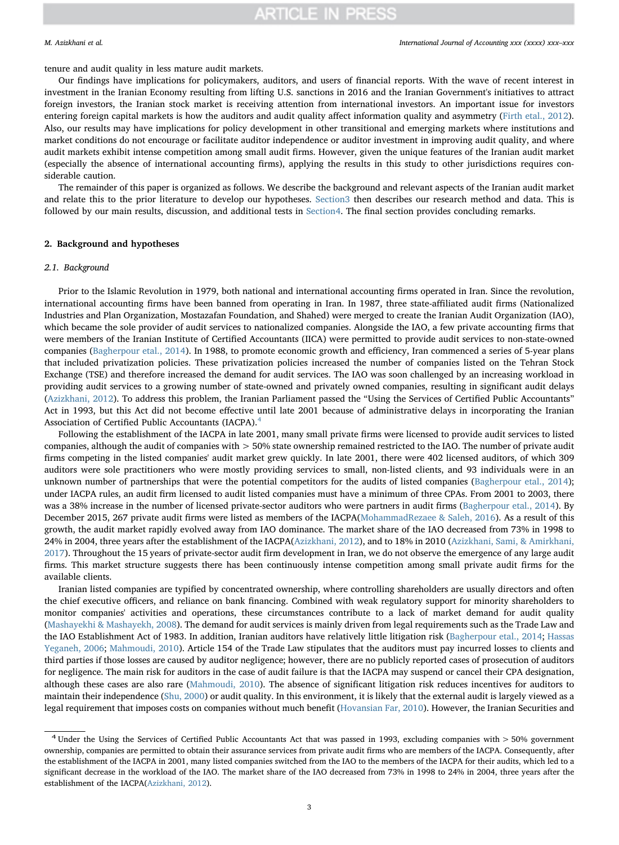tenure and audit quality in less mature audit markets.

Our findings have implications for policymakers, auditors, and users of financial reports. With the wave of recent interest in investment in the Iranian Economy resulting from lifting U.S. sanctions in 2016 and the Iranian Government's initiatives to attract foreign investors, the Iranian stock market is receiving attention from international investors. An important issue for investors entering foreign capital markets is how the auditors and audit quality affect information quality and asymmetry [\(Firth etal., 2012\)](#page-14-0). Also, our results may have implications for policy development in other transitional and emerging markets where institutions and market conditions do not encourage or facilitate auditor independence or auditor investment in improving audit quality, and where audit markets exhibit intense competition among small audit firms. However, given the unique features of the Iranian audit market (especially the absence of international accounting firms), applying the results in this study to other jurisdictions requires considerable caution.

The remainder of this paper is organized as follows. We describe the background and relevant aspects of the Iranian audit market and relate this to the prior literature to develop our hypotheses. [Section3](#page-4-0) then describes our research method and data. This is followed by our main results, discussion, and additional tests in [Section4.](#page-6-0) The final section provides concluding remarks.

### 2. Background and hypotheses

#### 2.1. Background

Prior to the Islamic Revolution in 1979, both national and international accounting firms operated in Iran. Since the revolution, international accounting firms have been banned from operating in Iran. In 1987, three state-affiliated audit firms (Nationalized Industries and Plan Organization, Mostazafan Foundation, and Shahed) were merged to create the Iranian Audit Organization (IAO), which became the sole provider of audit services to nationalized companies. Alongside the IAO, a few private accounting firms that were members of the Iranian Institute of Certified Accountants (IICA) were permitted to provide audit services to non-state-owned companies ([Bagherpour etal., 2014](#page-14-8)). In 1988, to promote economic growth and efficiency, Iran commenced a series of 5-year plans that included privatization policies. These privatization policies increased the number of companies listed on the Tehran Stock Exchange (TSE) and therefore increased the demand for audit services. The IAO was soon challenged by an increasing workload in providing audit services to a growing number of state-owned and privately owned companies, resulting in significant audit delays ([Azizkhani, 2012\)](#page-13-2). To address this problem, the Iranian Parliament passed the "Using the Services of Certified Public Accountants" Act in 1993, but this Act did not become effective until late 2001 because of administrative delays in incorporating the Iranian Association of Certified Public Accountants (IACPA).[4](#page-2-0)

Following the establishment of the IACPA in late 2001, many small private firms were licensed to provide audit services to listed companies, although the audit of companies with > 50% state ownership remained restricted to the IAO. The number of private audit firms competing in the listed companies' audit market grew quickly. In late 2001, there were 402 licensed auditors, of which 309 auditors were sole practitioners who were mostly providing services to small, non-listed clients, and 93 individuals were in an unknown number of partnerships that were the potential competitors for the audits of listed companies ([Bagherpour etal., 2014\)](#page-14-8); under IACPA rules, an audit firm licensed to audit listed companies must have a minimum of three CPAs. From 2001 to 2003, there was a 38% increase in the number of licensed private-sector auditors who were partners in audit firms [\(Bagherpour etal., 2014\)](#page-14-8). By December 2015, 267 private audit firms were listed as members of the IACPA[\(MohammadRezaee & Saleh, 2016\)](#page-14-16). As a result of this growth, the audit market rapidly evolved away from IAO dominance. The market share of the IAO decreased from 73% in 1998 to 24% in 2004, three years after the establishment of the IACPA([Azizkhani, 2012](#page-13-2)), and to 18% in 2010 [\(Azizkhani, Sami, & Amirkhani,](#page-14-17) [2017\)](#page-14-17). Throughout the 15 years of private-sector audit firm development in Iran, we do not observe the emergence of any large audit firms. This market structure suggests there has been continuously intense competition among small private audit firms for the available clients.

Iranian listed companies are typified by concentrated ownership, where controlling shareholders are usually directors and often the chief executive officers, and reliance on bank financing. Combined with weak regulatory support for minority shareholders to monitor companies' activities and operations, these circumstances contribute to a lack of market demand for audit quality ([Mashayekhi & Mashayekh, 2008](#page-14-18)). The demand for audit services is mainly driven from legal requirements such as the Trade Law and the IAO Establishment Act of 1983. In addition, Iranian auditors have relatively little litigation risk ([Bagherpour etal., 2014](#page-14-8); [Hassas](#page-14-19) [Yeganeh, 2006;](#page-14-19) [Mahmoudi, 2010](#page-14-20)). Article 154 of the Trade Law stipulates that the auditors must pay incurred losses to clients and third parties if those losses are caused by auditor negligence; however, there are no publicly reported cases of prosecution of auditors for negligence. The main risk for auditors in the case of audit failure is that the IACPA may suspend or cancel their CPA designation, although these cases are also rare [\(Mahmoudi, 2010](#page-14-20)). The absence of significant litigation risk reduces incentives for auditors to maintain their independence ([Shu, 2000\)](#page-15-2) or audit quality. In this environment, it is likely that the external audit is largely viewed as a legal requirement that imposes costs on companies without much benefit ([Hovansian Far, 2010](#page-14-21)). However, the Iranian Securities and

<span id="page-2-0"></span><sup>4</sup> Under the Using the Services of Certified Public Accountants Act that was passed in 1993, excluding companies with > 50% government ownership, companies are permitted to obtain their assurance services from private audit firms who are members of the IACPA. Consequently, after the establishment of the IACPA in 2001, many listed companies switched from the IAO to the members of the IACPA for their audits, which led to a significant decrease in the workload of the IAO. The market share of the IAO decreased from 73% in 1998 to 24% in 2004, three years after the establishment of the IACPA([Azizkhani, 2012\)](#page-13-2).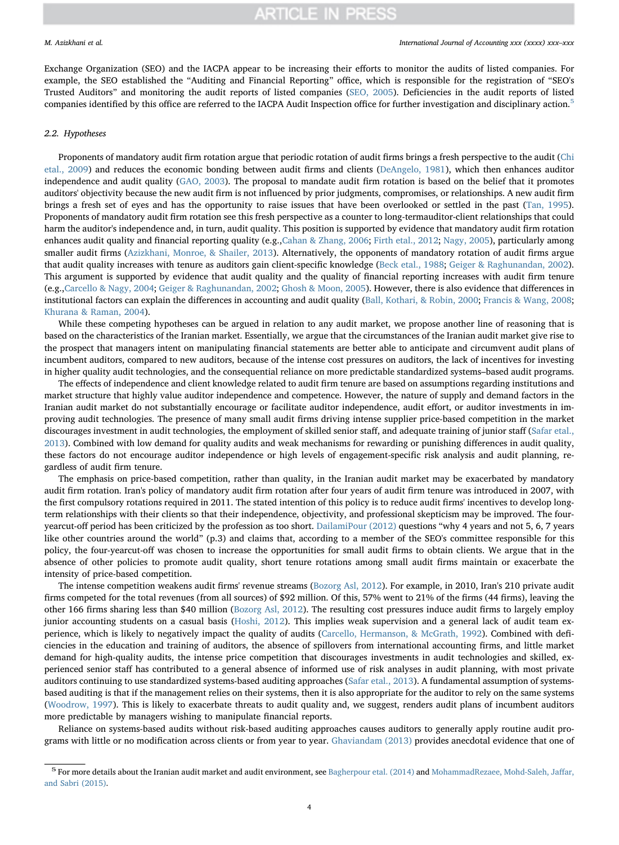Exchange Organization (SEO) and the IACPA appear to be increasing their efforts to monitor the audits of listed companies. For example, the SEO established the "Auditing and Financial Reporting" office, which is responsible for the registration of "SEO's Trusted Auditors" and monitoring the audit reports of listed companies ([SEO, 2005\)](#page-15-3). Deficiencies in the audit reports of listed companies identified by this office are referred to the IACPA Audit Inspection office for further investigation and disciplinary action.<sup>[5](#page-3-0)</sup>

### 2.2. Hypotheses

Proponents of mandatory audit firm rotation argue that periodic rotation of audit firms brings a fresh perspective to the audit [\(Chi](#page-14-15) [etal., 2009\)](#page-14-15) and reduces the economic bonding between audit firms and clients [\(DeAngelo, 1981\)](#page-14-1), which then enhances auditor independence and audit quality [\(GAO, 2003\)](#page-14-3). The proposal to mandate audit firm rotation is based on the belief that it promotes auditors' objectivity because the new audit firm is not influenced by prior judgments, compromises, or relationships. A new audit firm brings a fresh set of eyes and has the opportunity to raise issues that have been overlooked or settled in the past [\(Tan, 1995\)](#page-15-4). Proponents of mandatory audit firm rotation see this fresh perspective as a counter to long-termauditor-client relationships that could harm the auditor's independence and, in turn, audit quality. This position is supported by evidence that mandatory audit firm rotation enhances audit quality and financial reporting quality (e.g.[,Cahan & Zhang, 2006;](#page-14-22) [Firth etal., 2012;](#page-14-0) [Nagy, 2005\)](#page-14-23), particularly among smaller audit firms [\(Azizkhani, Monroe, & Shailer, 2013](#page-14-24)). Alternatively, the opponents of mandatory rotation of audit firms argue that audit quality increases with tenure as auditors gain client-specific knowledge ([Beck etal., 1988;](#page-14-7) [Geiger & Raghunandan, 2002](#page-14-6)). This argument is supported by evidence that audit quality and the quality of financial reporting increases with audit firm tenure (e.g.,[Carcello & Nagy, 2004;](#page-14-25) [Geiger & Raghunandan, 2002](#page-14-6); [Ghosh & Moon, 2005\)](#page-14-26). However, there is also evidence that differences in institutional factors can explain the differences in accounting and audit quality [\(Ball, Kothari, & Robin, 2000;](#page-14-27) [Francis & Wang, 2008;](#page-14-28) [Khurana & Raman, 2004](#page-14-29)).

While these competing hypotheses can be argued in relation to any audit market, we propose another line of reasoning that is based on the characteristics of the Iranian market. Essentially, we argue that the circumstances of the Iranian audit market give rise to the prospect that managers intent on manipulating financial statements are better able to anticipate and circumvent audit plans of incumbent auditors, compared to new auditors, because of the intense cost pressures on auditors, the lack of incentives for investing in higher quality audit technologies, and the consequential reliance on more predictable standardized systems–based audit programs.

The effects of independence and client knowledge related to audit firm tenure are based on assumptions regarding institutions and market structure that highly value auditor independence and competence. However, the nature of supply and demand factors in the Iranian audit market do not substantially encourage or facilitate auditor independence, audit effort, or auditor investments in improving audit technologies. The presence of many small audit firms driving intense supplier price-based competition in the market discourages investment in audit technologies, the employment of skilled senior staff, and adequate training of junior staff ([Safar etal.,](#page-15-1) [2013\)](#page-15-1). Combined with low demand for quality audits and weak mechanisms for rewarding or punishing differences in audit quality, these factors do not encourage auditor independence or high levels of engagement-specific risk analysis and audit planning, regardless of audit firm tenure.

The emphasis on price-based competition, rather than quality, in the Iranian audit market may be exacerbated by mandatory audit firm rotation. Iran's policy of mandatory audit firm rotation after four years of audit firm tenure was introduced in 2007, with the first compulsory rotations required in 2011. The stated intention of this policy is to reduce audit firms' incentives to develop longterm relationships with their clients so that their independence, objectivity, and professional skepticism may be improved. The fouryearcut-off period has been criticized by the profession as too short. [DailamiPour \(2012\)](#page-14-30) questions "why 4 years and not 5, 6, 7 years like other countries around the world" (p.3) and claims that, according to a member of the SEO's committee responsible for this policy, the four-yearcut-off was chosen to increase the opportunities for small audit firms to obtain clients. We argue that in the absence of other policies to promote audit quality, short tenure rotations among small audit firms maintain or exacerbate the intensity of price-based competition.

The intense competition weakens audit firms' revenue streams ([Bozorg Asl, 2012\)](#page-14-9). For example, in 2010, Iran's 210 private audit firms competed for the total revenues (from all sources) of \$92 million. Of this, 57% went to 21% of the firms (44 firms), leaving the other 166 firms sharing less than \$40 million ([Bozorg Asl, 2012\)](#page-14-9). The resulting cost pressures induce audit firms to largely employ junior accounting students on a casual basis [\(Hoshi, 2012](#page-14-31)). This implies weak supervision and a general lack of audit team experience, which is likely to negatively impact the quality of audits ([Carcello, Hermanson, & McGrath, 1992\)](#page-14-32). Combined with deficiencies in the education and training of auditors, the absence of spillovers from international accounting firms, and little market demand for high-quality audits, the intense price competition that discourages investments in audit technologies and skilled, experienced senior staff has contributed to a general absence of informed use of risk analyses in audit planning, with most private auditors continuing to use standardized systems-based auditing approaches ([Safar etal., 2013\)](#page-15-1). A fundamental assumption of systemsbased auditing is that if the management relies on their systems, then it is also appropriate for the auditor to rely on the same systems [\(Woodrow, 1997](#page-15-5)). This is likely to exacerbate threats to audit quality and, we suggest, renders audit plans of incumbent auditors more predictable by managers wishing to manipulate financial reports.

Reliance on systems-based audits without risk-based auditing approaches causes auditors to generally apply routine audit programs with little or no modification across clients or from year to year. [Ghaviandam \(2013\)](#page-14-33) provides anecdotal evidence that one of

<span id="page-3-0"></span><sup>5</sup> For more details about the Iranian audit market and audit environment, see [Bagherpour etal. \(2014\)](#page-14-8) and [MohammadRezaee, Mohd-Saleh, Ja](#page-14-34)ffar, [and Sabri \(2015\)](#page-14-34).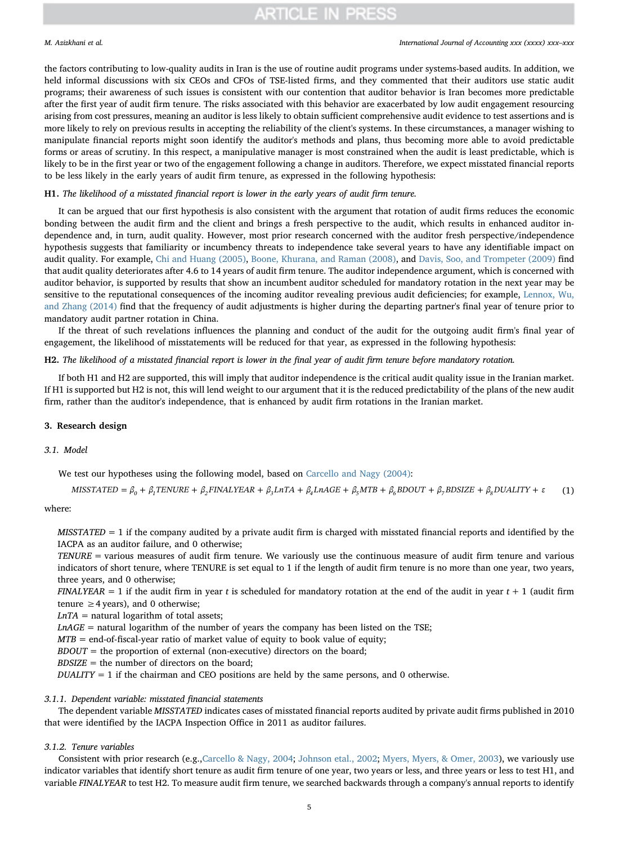### M. Azizkhani et al. *International Journal of Accounting xxx (xxxx) xxx–xxx*

the factors contributing to low-quality audits in Iran is the use of routine audit programs under systems-based audits. In addition, we held informal discussions with six CEOs and CFOs of TSE-listed firms, and they commented that their auditors use static audit programs; their awareness of such issues is consistent with our contention that auditor behavior is Iran becomes more predictable after the first year of audit firm tenure. The risks associated with this behavior are exacerbated by low audit engagement resourcing arising from cost pressures, meaning an auditor is less likely to obtain sufficient comprehensive audit evidence to test assertions and is more likely to rely on previous results in accepting the reliability of the client's systems. In these circumstances, a manager wishing to manipulate financial reports might soon identify the auditor's methods and plans, thus becoming more able to avoid predictable forms or areas of scrutiny. In this respect, a manipulative manager is most constrained when the audit is least predictable, which is likely to be in the first year or two of the engagement following a change in auditors. Therefore, we expect misstated financial reports to be less likely in the early years of audit firm tenure, as expressed in the following hypothesis:

## H1. The likelihood of a misstated financial report is lower in the early years of audit firm tenure.

It can be argued that our first hypothesis is also consistent with the argument that rotation of audit firms reduces the economic bonding between the audit firm and the client and brings a fresh perspective to the audit, which results in enhanced auditor independence and, in turn, audit quality. However, most prior research concerned with the auditor fresh perspective/independence hypothesis suggests that familiarity or incumbency threats to independence take several years to have any identifiable impact on audit quality. For example, [Chi and Huang \(2005\)](#page-14-35), [Boone, Khurana, and Raman \(2008\)](#page-14-36), and [Davis, Soo, and Trompeter \(2009\)](#page-14-37) find that audit quality deteriorates after 4.6 to 14 years of audit firm tenure. The auditor independence argument, which is concerned with auditor behavior, is supported by results that show an incumbent auditor scheduled for mandatory rotation in the next year may be sensitive to the reputational consequences of the incoming auditor revealing previous audit deficiencies; for example, [Lennox, Wu,](#page-14-38) [and Zhang \(2014\)](#page-14-38) find that the frequency of audit adjustments is higher during the departing partner's final year of tenure prior to mandatory audit partner rotation in China.

If the threat of such revelations influences the planning and conduct of the audit for the outgoing audit firm's final year of engagement, the likelihood of misstatements will be reduced for that year, as expressed in the following hypothesis:

## H2. The likelihood of a misstated financial report is lower in the final year of audit firm tenure before mandatory rotation.

If both H1 and H2 are supported, this will imply that auditor independence is the critical audit quality issue in the Iranian market. If H1 is supported but H2 is not, this will lend weight to our argument that it is the reduced predictability of the plans of the new audit firm, rather than the auditor's independence, that is enhanced by audit firm rotations in the Iranian market.

## <span id="page-4-0"></span>3. Research design

## 3.1. Model

We test our hypotheses using the following model, based on [Carcello and Nagy \(2004\)](#page-14-25):

*MISSTATED* =  $\beta_0 + \beta_1$ TENURE +  $\beta_2$ FINALYEAR +  $\beta_3$ LnTA +  $\beta_4$ LnAGE +  $\beta_5$ MTB +  $\beta_6$ BDOUT +  $\beta_7$ BDSIZE +  $\beta_8$ DUALITY + ε (1)

where:

MISSTATED = 1 if the company audited by a private audit firm is charged with misstated financial reports and identified by the IACPA as an auditor failure, and 0 otherwise;

TENURE = various measures of audit firm tenure. We variously use the continuous measure of audit firm tenure and various indicators of short tenure, where TENURE is set equal to 1 if the length of audit firm tenure is no more than one year, two years, three years, and 0 otherwise;

FINALYEAR = 1 if the audit firm in year t is scheduled for mandatory rotation at the end of the audit in year  $t + 1$  (audit firm tenure  $\geq$  4 years), and 0 otherwise;

 $LnTA$  = natural logarithm of total assets;

 $LnAGE =$  natural logarithm of the number of years the company has been listed on the TSE;

 $MTB$  = end-of-fiscal-year ratio of market value of equity to book value of equity;

 $BDOUT =$  the proportion of external (non-executive) directors on the board;

 $BDSIZE =$  the number of directors on the board;

 $DUALITY = 1$  if the chairman and CEO positions are held by the same persons, and 0 otherwise.

### 3.1.1. Dependent variable: misstated financial statements

The dependent variable MISSTATED indicates cases of misstated financial reports audited by private audit firms published in 2010 that were identified by the IACPA Inspection Office in 2011 as auditor failures.

## 3.1.2. Tenure variables

Consistent with prior research (e.g.[,Carcello & Nagy, 2004;](#page-14-25) [Johnson etal., 2002](#page-14-4); [Myers, Myers, & Omer, 2003\)](#page-14-39), we variously use indicator variables that identify short tenure as audit firm tenure of one year, two years or less, and three years or less to test H1, and variable FINALYEAR to test H2. To measure audit firm tenure, we searched backwards through a company's annual reports to identify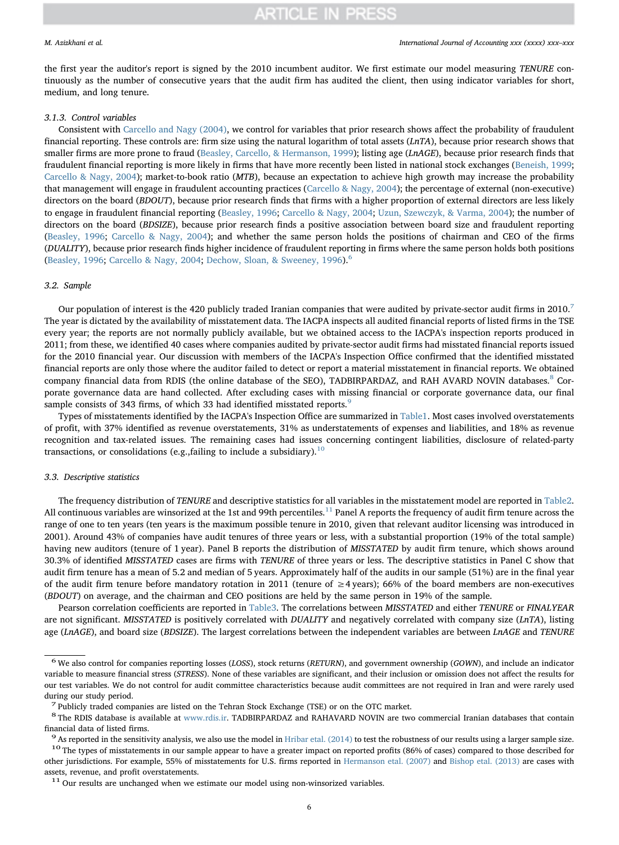#### M. Azizkhani et al. *International Journal of Accounting xxx (xxxx) xxx–xxx*

the first year the auditor's report is signed by the 2010 incumbent auditor. We first estimate our model measuring TENURE continuously as the number of consecutive years that the audit firm has audited the client, then using indicator variables for short, medium, and long tenure.

## 3.1.3. Control variables

Consistent with [Carcello and Nagy \(2004\),](#page-14-25) we control for variables that prior research shows affect the probability of fraudulent financial reporting. These controls are: firm size using the natural logarithm of total assets  $(LnTA)$ , because prior research shows that smaller firms are more prone to fraud [\(Beasley, Carcello, & Hermanson, 1999\)](#page-14-40); listing age (LnAGE), because prior research finds that fraudulent financial reporting is more likely in firms that have more recently been listed in national stock exchanges [\(Beneish, 1999;](#page-14-41) [Carcello & Nagy, 2004](#page-14-25)); market-to-book ratio (MTB), because an expectation to achieve high growth may increase the probability that management will engage in fraudulent accounting practices ([Carcello & Nagy, 2004](#page-14-25)); the percentage of external (non-executive) directors on the board (BDOUT), because prior research finds that firms with a higher proportion of external directors are less likely to engage in fraudulent financial reporting ([Beasley, 1996;](#page-14-42) [Carcello & Nagy, 2004](#page-14-25); [Uzun, Szewczyk, & Varma, 2004\)](#page-15-6); the number of directors on the board (BDSIZE), because prior research finds a positive association between board size and fraudulent reporting ([Beasley, 1996](#page-14-42); [Carcello & Nagy, 2004](#page-14-25)); and whether the same person holds the positions of chairman and CEO of the firms (DUALITY), because prior research finds higher incidence of fraudulent reporting in firms where the same person holds both positions ([Beasley, 1996](#page-14-42); [Carcello & Nagy, 2004;](#page-14-25) [Dechow, Sloan, & Sweeney, 1996](#page-14-43)).<sup>6</sup>

## 3.2. Sample

Our population of interest is the 420 publicly traded Iranian companies that were audited by private-sector audit firms in 2010.<sup>[7](#page-5-1)</sup> The year is dictated by the availability of misstatement data. The IACPA inspects all audited financial reports of listed firms in the TSE every year; the reports are not normally publicly available, but we obtained access to the IACPA's inspection reports produced in 2011; from these, we identified 40 cases where companies audited by private-sector audit firms had misstated financial reports issued for the 2010 financial year. Our discussion with members of the IACPA's Inspection Office confirmed that the identified misstated financial reports are only those where the auditor failed to detect or report a material misstatement in financial reports. We obtained company financial data from RDIS (the online database of the SEO), TADBIRPARDAZ, and RAH AVARD NOVIN databases.  $8$  Corporate governance data are hand collected. After excluding cases with missing financial or corporate governance data, our final sample consists of 343 firms, of which 33 had identified misstated reports.<sup>[9](#page-5-3)</sup>

Types of misstatements identified by the IACPA's Inspection Office are summarized in [Table1](#page-6-1). Most cases involved overstatements of profit, with 37% identified as revenue overstatements, 31% as understatements of expenses and liabilities, and 18% as revenue recognition and tax-related issues. The remaining cases had issues concerning contingent liabilities, disclosure of related-party transactions, or consolidations (e.g., failing to include a subsidiary).<sup>[10](#page-5-4)</sup>

## 3.3. Descriptive statistics

The frequency distribution of TENURE and descriptive statistics for all variables in the misstatement model are reported in [Table2.](#page-6-2) All continuous variables are winsorized at the 1st and 99th percentiles.<sup>[11](#page-5-5)</sup> Panel A reports the frequency of audit firm tenure across the range of one to ten years (ten years is the maximum possible tenure in 2010, given that relevant auditor licensing was introduced in 2001). Around 43% of companies have audit tenures of three years or less, with a substantial proportion (19% of the total sample) having new auditors (tenure of 1 year). Panel B reports the distribution of MISSTATED by audit firm tenure, which shows around 30.3% of identified MISSTATED cases are firms with TENURE of three years or less. The descriptive statistics in Panel C show that audit firm tenure has a mean of 5.2 and median of 5 years. Approximately half of the audits in our sample (51%) are in the final year of the audit firm tenure before mandatory rotation in 2011 (tenure of ≥4 years); 66% of the board members are non-executives (BDOUT) on average, and the chairman and CEO positions are held by the same person in 19% of the sample.

Pearson correlation coefficients are reported in [Table3](#page-7-0). The correlations between MISSTATED and either TENURE or FINALYEAR are not significant. MISSTATED is positively correlated with DUALITY and negatively correlated with company size (LnTA), listing age (LnAGE), and board size (BDSIZE). The largest correlations between the independent variables are between LnAGE and TENURE

<span id="page-5-0"></span><sup>6</sup> We also control for companies reporting losses (LOSS), stock returns (RETURN), and government ownership (GOWN), and include an indicator variable to measure financial stress (STRESS). None of these variables are significant, and their inclusion or omission does not affect the results for our test variables. We do not control for audit committee characteristics because audit committees are not required in Iran and were rarely used during our study period.

<span id="page-5-1"></span><sup>7</sup> Publicly traded companies are listed on the Tehran Stock Exchange (TSE) or on the OTC market.

<span id="page-5-2"></span><sup>8</sup> The RDIS database is available at [www.rdis.ir](http://www.rdis.ir). TADBIRPARDAZ and RAHAVARD NOVIN are two commercial Iranian databases that contain

<span id="page-5-3"></span>financial data of listed firms.<br><sup>9</sup> As reported in the sensitivity analysis, we also use the model in [Hribar etal. \(2014\)](#page-14-13) to test the robustness of our results using a larger sample size.<br><sup>10</sup> The types of misstatements i

<span id="page-5-4"></span>other jurisdictions. For example, 55% of misstatements for U.S. firms reported in [Hermanson etal. \(2007\)](#page-14-12) and [Bishop etal. \(2013\)](#page-14-10) are cases with assets, revenue, and profit overstatements.  $11$  Our results are unchanged when we estimate our model using non-winsorized variables.

<span id="page-5-5"></span>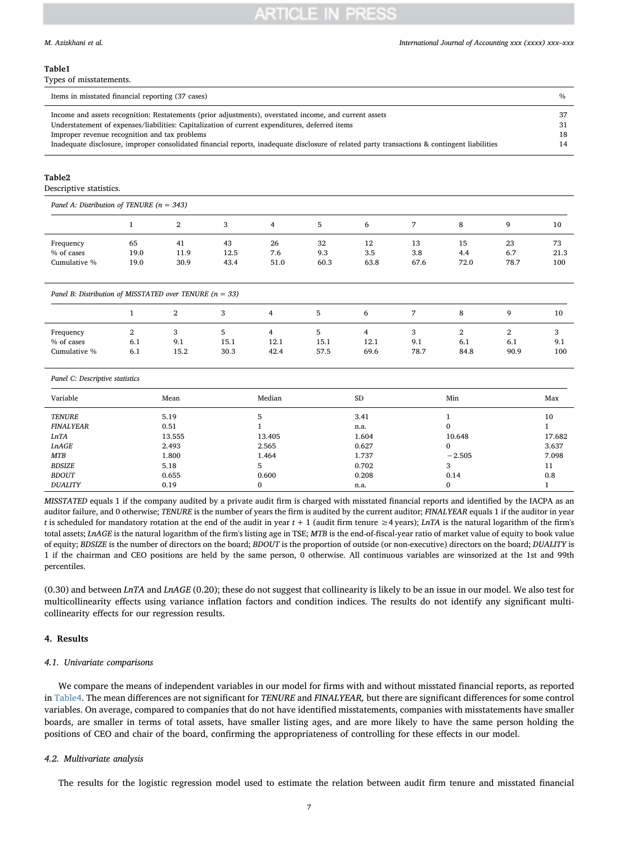## <span id="page-6-1"></span>Table1

Types of misstatements.

| Items in misstated financial reporting (37 cases)                                                                                                                                                                                                                                                                                                                                                         | $\frac{0}{0}$ |
|-----------------------------------------------------------------------------------------------------------------------------------------------------------------------------------------------------------------------------------------------------------------------------------------------------------------------------------------------------------------------------------------------------------|---------------|
| Income and assets recognition: Restatements (prior adjustments), overstated income, and current assets<br>Understatement of expenses/liabilities: Capitalization of current expenditures, deferred items<br>Improper revenue recognition and tax problems<br>Inadequate disclosure, improper consolidated financial reports, inadequate disclosure of related party transactions & contingent liabilities |               |

<span id="page-6-2"></span>

| Table2                  |  |
|-------------------------|--|
| Descriptive statistics. |  |

| Panel A: Distribution of TENURE ( $n = 343$ )               |              |                |      |                |      |                |                |                |                |              |
|-------------------------------------------------------------|--------------|----------------|------|----------------|------|----------------|----------------|----------------|----------------|--------------|
|                                                             | $\mathbf{1}$ | $\overline{2}$ | 3    | $\overline{4}$ | 5    | 6              | $\overline{7}$ | 8              | 9              | 10           |
| Frequency                                                   | 65           | 41             | 43   | 26             | 32   | 12             | 13             | 15             | 23             | 73           |
| % of cases                                                  | 19.0         | 11.9           | 12.5 | 7.6            | 9.3  | 3.5            | 3.8            | 4.4            | 6.7            | 21.3         |
| Cumulative %                                                | 19.0         | 30.9           | 43.4 | 51.0           | 60.3 | 63.8           | 67.6           | 72.0           | 78.7           | 100          |
| Panel B: Distribution of MISSTATED over TENURE ( $n = 33$ ) |              |                |      |                |      |                |                |                |                |              |
|                                                             | $\mathbf{1}$ | $\overline{2}$ | 3    | $\overline{4}$ | 5    | 6              | 7              | 8              | 9              | 10           |
| Frequency                                                   | $\mathbf{2}$ | 3              | 5    | $\overline{4}$ | 5    | $\overline{4}$ | 3              | $\overline{2}$ | $\overline{2}$ | 3            |
| % of cases                                                  | 6.1          | 9.1            | 15.1 | 12.1           | 15.1 | 12.1           | 9.1            | 6.1            | 6.1            | 9.1          |
| Cumulative %                                                | 6.1          | 15.2           | 30.3 | 42.4           | 57.5 | 69.6           | 78.7           | 84.8           | 90.9           | 100          |
| Panel C: Descriptive statistics                             |              |                |      |                |      |                |                |                |                |              |
| Variable                                                    |              | Mean           |      | Median         |      | SD             |                | Min            |                | Max          |
| <b>TENURE</b>                                               |              | 5.19           |      | 5              |      | 3.41           |                | $\mathbf{1}$   |                | 10           |
| <b>FINALYEAR</b>                                            |              | 0.51           |      | $\mathbf{1}$   |      | n.a.           |                | $\Omega$       |                | 1            |
| LnTA                                                        |              | 13.555         |      | 13.405         |      | 1.604          |                | 10.648         |                | 17.682       |
| LnAGE                                                       |              | 2.493          |      | 2.565          |      | 0.627          |                | $\mathbf{0}$   |                | 3.637        |
| <b>MTB</b>                                                  |              | 1.800          |      | 1.464          |      | 1.737          |                | $-2.505$       |                | 7.098        |
| <b>BDSIZE</b>                                               |              | 5.18           |      | 5              |      | 0.702          |                | 3              |                | 11           |
| <b>BDOUT</b>                                                |              | 0.655          |      | 0.600          |      | 0.208          |                | 0.14           |                | 0.8          |
| <b>DUALITY</b>                                              |              | 0.19           |      | $\mathbf{0}$   |      | n.a.           |                | $\mathbf{0}$   |                | $\mathbf{1}$ |

MISSTATED equals 1 if the company audited by a private audit firm is charged with misstated financial reports and identified by the IACPA as an auditor failure, and 0 otherwise; TENURE is the number of years the firm is audited by the current auditor; FINALYEAR equals 1 if the auditor in year t is scheduled for mandatory rotation at the end of the audit in year  $t + 1$  (audit firm tenure  $\geq 4$  years); LnTA is the natural logarithm of the firm's total assets; LnAGE is the natural logarithm of the firm's listing age in TSE; MTB is the end-of-fiscal-year ratio of market value of equity to book value of equity; BDSIZE is the number of directors on the board; BDOUT is the proportion of outside (or non-executive) directors on the board; DUALITY is 1 if the chairman and CEO positions are held by the same person, 0 otherwise. All continuous variables are winsorized at the 1st and 99th percentiles.

 $(0.30)$  and between LnTA and LnAGE  $(0.20)$ ; these do not suggest that collinearity is likely to be an issue in our model. We also test for multicollinearity effects using variance inflation factors and condition indices. The results do not identify any significant multicollinearity effects for our regression results.

## <span id="page-6-0"></span>4. Results

## 4.1. Univariate comparisons

We compare the means of independent variables in our model for firms with and without misstated financial reports, as reported in [Table4.](#page-7-1) The mean differences are not significant for TENURE and FINALYEAR, but there are significant differences for some control variables. On average, compared to companies that do not have identified misstatements, companies with misstatements have smaller boards, are smaller in terms of total assets, have smaller listing ages, and are more likely to have the same person holding the positions of CEO and chair of the board, confirming the appropriateness of controlling for these effects in our model.

### 4.2. Multivariate analysis

The results for the logistic regression model used to estimate the relation between audit firm tenure and misstated financial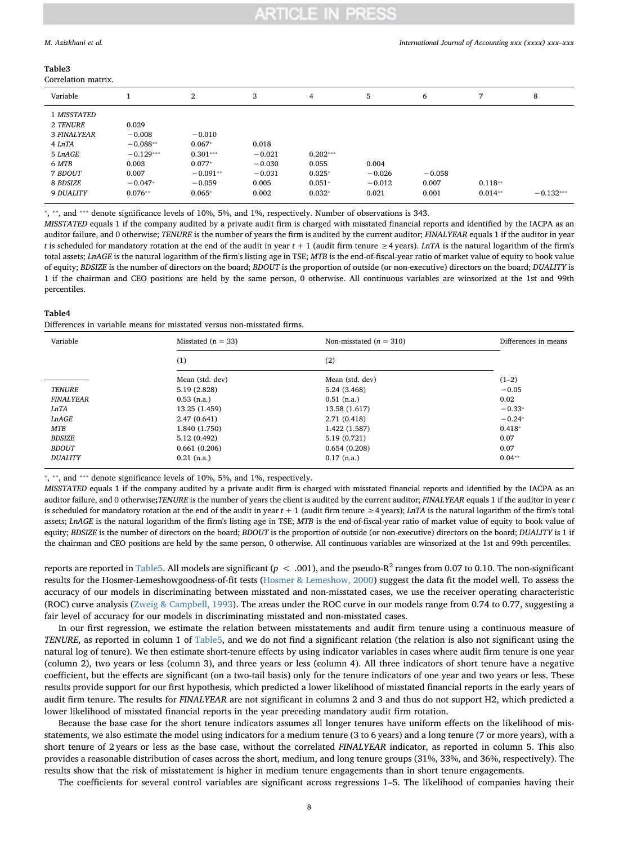# <span id="page-7-0"></span>Table3

| Correlation matrix. |  |
|---------------------|--|
|                     |  |

| 1 MISSTATED<br>0.029<br>2 TENURE<br>$-0.008$<br>$-0.010$<br>3 FINALYEAR                                                                                                                                                                                                                                                                                                                                   | Variable |            | $\overline{2}$ | 3     | 4 | 5 | 6 | 7 | 8           |
|-----------------------------------------------------------------------------------------------------------------------------------------------------------------------------------------------------------------------------------------------------------------------------------------------------------------------------------------------------------------------------------------------------------|----------|------------|----------------|-------|---|---|---|---|-------------|
| $0.202***$<br>$-0.129***$<br>$0.301***$<br>5 LnAGE<br>$-0.021$<br>6 MTB<br>0.003<br>$0.077*$<br>0.055<br>0.004<br>$-0.030$<br>0.007<br>$-0.091**$<br>$0.025*$<br>7 BDOUT<br>$-0.031$<br>$-0.026$<br>$-0.058$<br>0.005<br>$0.051*$<br>$0.118**$<br>8 BDSIZE<br>$-0.047*$<br>$-0.059$<br>0.007<br>$-0.012$<br>$0.065*$<br>0.002<br>$0.032*$<br>$0.076**$<br>0.021<br>0.001<br>$0.014**$<br><b>9 DUALITY</b> | 4 LnTA   | $-0.088**$ | $0.067*$       | 0.018 |   |   |   |   | $-0.132***$ |

⁎ , ⁎⁎, and ⁎⁎⁎ denote significance levels of 10%, 5%, and 1%, respectively. Number of observations is 343.

MISSTATED equals 1 if the company audited by a private audit firm is charged with misstated financial reports and identified by the IACPA as an auditor failure, and 0 otherwise; TENURE is the number of years the firm is audited by the current auditor; FINALYEAR equals 1 if the auditor in year t is scheduled for mandatory rotation at the end of the audit in year  $t + 1$  (audit firm tenure  $\geq 4$  years). LnTA is the natural logarithm of the firm's total assets; LnAGE is the natural logarithm of the firm's listing age in TSE; MTB is the end-of-fiscal-year ratio of market value of equity to book value of equity; BDSIZE is the number of directors on the board; BDOUT is the proportion of outside (or non-executive) directors on the board; DUALITY is 1 if the chairman and CEO positions are held by the same person, 0 otherwise. All continuous variables are winsorized at the 1st and 99th percentiles.

### <span id="page-7-1"></span>Table4

Differences in variable means for misstated versus non-misstated firms.

| Variable         | Misstated $(n = 33)$ | Non-misstated $(n = 310)$ | Differences in means |
|------------------|----------------------|---------------------------|----------------------|
|                  | (1)                  | (2)                       |                      |
|                  | Mean (std. dev)      | Mean (std. dev)           | $(1-2)$              |
| <b>TENURE</b>    | 5.19 (2.828)         | 5.24 (3.468)              | $-0.05$              |
| <b>FINALYEAR</b> | $0.53$ (n.a.)        | $0.51$ (n.a.)             | 0.02                 |
| LnTA             | 13.25 (1.459)        | 13.58 (1.617)             | $-0.33*$             |
| LnAGE            | 2.47(0.641)          | 2.71(0.418)               | $-0.24*$             |
| MTB              | 1.840 (1.750)        | 1.422 (1.587)             | $0.418*$             |
| <b>BDSIZE</b>    | 5.12 (0.492)         | 5.19 (0.721)              | 0.07                 |
| <b>BDOUT</b>     | 0.661(0.206)         | 0.654(0.208)              | 0.07                 |
| <b>DUALITY</b>   | $0.21$ (n.a.)        | $0.17$ (n.a.)             | $0.04**$             |

\*, \*\*, and \*\*\* denote significance levels of 10%, 5%, and 1%, respectively.

MISSTATED equals 1 if the company audited by a private audit firm is charged with misstated financial reports and identified by the IACPA as an auditor failure, and 0 otherwise;TENURE is the number of years the client is audited by the current auditor; FINALYEAR equals 1 if the auditor in year t is scheduled for mandatory rotation at the end of the audit in year  $t + 1$  (audit firm tenure  $\geq 4$  years); LnTA is the natural logarithm of the firm's total assets; LnAGE is the natural logarithm of the firm's listing age in TSE; MTB is the end-of-fiscal-year ratio of market value of equity to book value of equity; BDSIZE is the number of directors on the board; BDOUT is the proportion of outside (or non-executive) directors on the board; DUALITY is 1 if the chairman and CEO positions are held by the same person, 0 otherwise. All continuous variables are winsorized at the 1st and 99th percentiles.

reports are reported in [Table5](#page-8-0). All models are significant  $(p < .001)$ , and the pseudo-R<sup>2</sup> ranges from 0.07 to 0.10. The non-significant results for the Hosmer-Lemeshowgoodness-of-fit tests ([Hosmer & Lemeshow, 2000\)](#page-14-44) suggest the data fit the model well. To assess the accuracy of our models in discriminating between misstated and non-misstated cases, we use the receiver operating characteristic (ROC) curve analysis ([Zweig & Campbell, 1993\)](#page-15-7). The areas under the ROC curve in our models range from 0.74 to 0.77, suggesting a fair level of accuracy for our models in discriminating misstated and non-misstated cases.

In our first regression, we estimate the relation between misstatements and audit firm tenure using a continuous measure of TENURE, as reported in column 1 of [Table5,](#page-8-0) and we do not find a significant relation (the relation is also not significant using the natural log of tenure). We then estimate short-tenure effects by using indicator variables in cases where audit firm tenure is one year (column 2), two years or less (column 3), and three years or less (column 4). All three indicators of short tenure have a negative coefficient, but the effects are significant (on a two-tail basis) only for the tenure indicators of one year and two years or less. These results provide support for our first hypothesis, which predicted a lower likelihood of misstated financial reports in the early years of audit firm tenure. The results for FINALYEAR are not significant in columns 2 and 3 and thus do not support H2, which predicted a lower likelihood of misstated financial reports in the year preceding mandatory audit firm rotation.

Because the base case for the short tenure indicators assumes all longer tenures have uniform effects on the likelihood of misstatements, we also estimate the model using indicators for a medium tenure (3 to 6 years) and a long tenure (7 or more years), with a short tenure of 2 years or less as the base case, without the correlated FINALYEAR indicator, as reported in column 5. This also provides a reasonable distribution of cases across the short, medium, and long tenure groups (31%, 33%, and 36%, respectively). The results show that the risk of misstatement is higher in medium tenure engagements than in short tenure engagements.

The coefficients for several control variables are significant across regressions 1–5. The likelihood of companies having their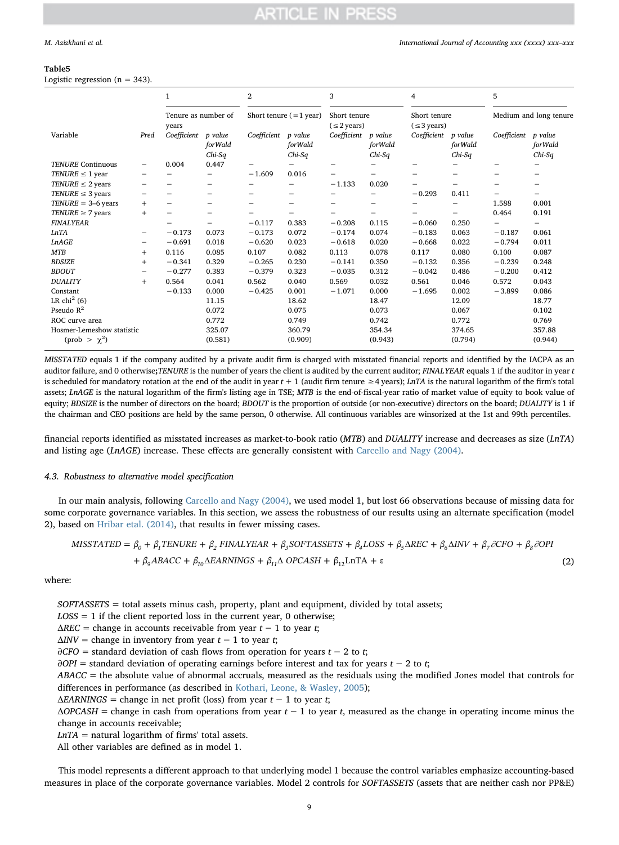### <span id="page-8-0"></span>Table5

Logistic regression ( $n = 343$ ).

|                               |        | 1                            |                              | $\overline{2}$ |                                | 3                               |                                | 4                               |                                | 5           |                                |
|-------------------------------|--------|------------------------------|------------------------------|----------------|--------------------------------|---------------------------------|--------------------------------|---------------------------------|--------------------------------|-------------|--------------------------------|
|                               |        | Tenure as number of<br>years |                              |                | Short tenure $(=1$ year)       | Short tenure<br>$(\leq2 years)$ |                                | Short tenure<br>$(\leq3 years)$ |                                |             | Medium and long tenure         |
| Variable                      | Pred   | Coefficient                  | p value<br>forWald<br>Chi-Sa | Coefficient    | p value<br>forWald<br>$Chi-Sq$ | Coefficient                     | p value<br>forWald<br>$Chi-Sq$ | Coefficient                     | p value<br>forWald<br>$Chi-Sq$ | Coefficient | p value<br>forWald<br>$Chi-Sq$ |
| <b>TENURE Continuous</b>      | -      | 0.004                        | 0.447                        |                |                                | $\qquad \qquad$                 |                                |                                 |                                |             | -                              |
| $TENURE \leq 1$ year          | -      |                              |                              | $-1.609$       | 0.016                          | -                               | -                              | -                               |                                |             | -                              |
| $TENURE \leq 2 \text{ years}$ |        |                              |                              |                |                                | $-1.133$                        | 0.020                          |                                 |                                |             | -                              |
| $TENURE \leq 3 \text{ years}$ |        |                              |                              |                |                                | -                               |                                | $-0.293$                        | 0.411                          |             | -                              |
| $TENURE = 3-6$ years          | $+$    |                              |                              |                |                                | -                               | -                              |                                 |                                | 1.588       | 0.001                          |
| $TENURE \geq 7$ years         | $^{+}$ |                              |                              |                | -                              |                                 | -                              | -                               | -                              | 0.464       | 0.191                          |
| <b>FINALYEAR</b>              |        |                              |                              | $-0.117$       | 0.383                          | $-0.208$                        | 0.115                          | $-0.060$                        | 0.250                          |             | -                              |
| LnTA                          | -      | $-0.173$                     | 0.073                        | $-0.173$       | 0.072                          | $-0.174$                        | 0.074                          | $-0.183$                        | 0.063                          | $-0.187$    | 0.061                          |
| LnAGE                         | -      | $-0.691$                     | 0.018                        | $-0.620$       | 0.023                          | $-0.618$                        | 0.020                          | $-0.668$                        | 0.022                          | $-0.794$    | 0.011                          |
| <b>MTB</b>                    | $^{+}$ | 0.116                        | 0.085                        | 0.107          | 0.082                          | 0.113                           | 0.078                          | 0.117                           | 0.080                          | 0.100       | 0.087                          |
| <b>BDSIZE</b>                 | $+$    | $-0.341$                     | 0.329                        | $-0.265$       | 0.230                          | $-0.141$                        | 0.350                          | $-0.132$                        | 0.356                          | $-0.239$    | 0.248                          |
| <b>BDOUT</b>                  | -      | $-0.277$                     | 0.383                        | $-0.379$       | 0.323                          | $-0.035$                        | 0.312                          | $-0.042$                        | 0.486                          | $-0.200$    | 0.412                          |
| <b>DUALITY</b>                | $+$    | 0.564                        | 0.041                        | 0.562          | 0.040                          | 0.569                           | 0.032                          | 0.561                           | 0.046                          | 0.572       | 0.043                          |
| Constant                      |        | $-0.133$                     | 0.000                        | $-0.425$       | 0.001                          | $-1.071$                        | 0.000                          | $-1.695$                        | 0.002                          | $-3.899$    | 0.086                          |
| LR chi <sup>2</sup> (6)       |        |                              | 11.15                        |                | 18.62                          |                                 | 18.47                          |                                 | 12.09                          |             | 18.77                          |
| Pseudo $R^2$                  |        |                              | 0.072                        |                | 0.075                          |                                 | 0.073                          |                                 | 0.067                          |             | 0.102                          |
| ROC curve area                |        |                              | 0.772                        |                | 0.749                          |                                 | 0.742                          |                                 | 0.772                          |             | 0.769                          |
| Hosmer-Lemeshow statistic     |        |                              | 325.07                       |                | 360.79                         |                                 | 354.34                         |                                 | 374.65                         |             | 357.88                         |
| $(\text{prob} > \chi^2)$      |        |                              | (0.581)                      |                | (0.909)                        |                                 | (0.943)                        |                                 | (0.794)                        |             | (0.944)                        |

MISSTATED equals 1 if the company audited by a private audit firm is charged with misstated financial reports and identified by the IACPA as an auditor failure, and 0 otherwise;TENURE is the number of years the client is audited by the current auditor; FINALYEAR equals 1 if the auditor in year t is scheduled for mandatory rotation at the end of the audit in year  $t + 1$  (audit firm tenure  $\geq 4$  years); LnTA is the natural logarithm of the firm's total assets; LnAGE is the natural logarithm of the firm's listing age in TSE; MTB is the end-of-fiscal-year ratio of market value of equity to book value of equity; BDSIZE is the number of directors on the board; BDOUT is the proportion of outside (or non-executive) directors on the board; DUALITY is 1 if the chairman and CEO positions are held by the same person, 0 otherwise. All continuous variables are winsorized at the 1st and 99th percentiles.

financial reports identified as misstated increases as market-to-book ratio (MTB) and DUALITY increase and decreases as size (LnTA) and listing age (LnAGE) increase. These effects are generally consistent with [Carcello and Nagy \(2004\).](#page-14-25)

## 4.3. Robustness to alternative model specification

In our main analysis, following [Carcello and Nagy \(2004\)](#page-14-25), we used model 1, but lost 66 observations because of missing data for some corporate governance variables. In this section, we assess the robustness of our results using an alternate specification (model 2), based on [Hribar etal. \(2014\)](#page-14-13), that results in fewer missing cases.

$$
MISSTATED = \beta_0 + \beta_1 TENURE + \beta_2 FINALYEAR + \beta_3 SOFTAS SETS + \beta_4 LOSS + \beta_5 \triangle REC + \beta_6 \triangle INV + \beta_7 \angle CFO + \beta_8 \angle OPI
$$
  
+  $\beta_9 ABACC + \beta_{10} \triangle EARNINGS + \beta_{11} \triangle OPCASH + \beta_{12} LnTA + \varepsilon$  (2)

where:

SOFTASSETS = total assets minus cash, property, plant and equipment, divided by total assets;

 $LOSS = 1$  if the client reported loss in the current year, 0 otherwise;

 $\Delta$ REC = change in accounts receivable from year t – 1 to year t;

 $\Delta$ *INV* = change in inventory from year  $t - 1$  to year  $t$ ;

 $∂CFO =$  standard deviation of cash flows from operation for years  $t - 2$  to t;

 $∂OPI$  = standard deviation of operating earnings before interest and tax for years  $t - 2$  to t;

ABACC = the absolute value of abnormal accruals, measured as the residuals using the modified Jones model that controls for differences in performance (as described in [Kothari, Leone, & Wasley, 2005](#page-14-45));

 $\triangle EARNINGS$  = change in net profit (loss) from year  $t - 1$  to year t;

 $\Delta$ OPCASH = change in cash from operations from year  $t - 1$  to year t, measured as the change in operating income minus the change in accounts receivable;

 $LnTA$  = natural logarithm of firms' total assets.

All other variables are defined as in model 1.

This model represents a different approach to that underlying model 1 because the control variables emphasize accounting-based measures in place of the corporate governance variables. Model 2 controls for SOFTASSETS (assets that are neither cash nor PP&E)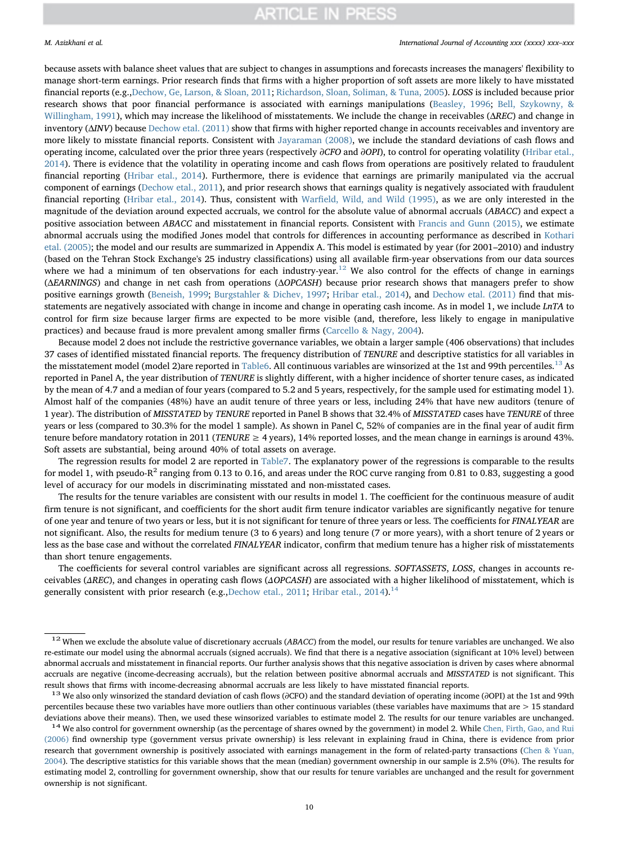because assets with balance sheet values that are subject to changes in assumptions and forecasts increases the managers' flexibility to manage short-term earnings. Prior research finds that firms with a higher proportion of soft assets are more likely to have misstated financial reports (e.g.[,Dechow, Ge, Larson, & Sloan, 2011](#page-14-46); [Richardson, Sloan, Soliman, & Tuna, 2005\)](#page-15-8). LOSS is included because prior research shows that poor financial performance is associated with earnings manipulations ([Beasley, 1996;](#page-14-42) [Bell, Szykowny, &](#page-14-47) [Willingham, 1991](#page-14-47)), which may increase the likelihood of misstatements. We include the change in receivables (ΔREC) and change in inventory (ΔINV) because [Dechow etal. \(2011\)](#page-14-46) show that firms with higher reported change in accounts receivables and inventory are more likely to misstate financial reports. Consistent with [Jayaraman \(2008\)](#page-14-48), we include the standard deviations of cash flows and operating income, calculated over the prior three years (respectively ∂CFO and ∂OPI), to control for operating volatility ([Hribar etal.,](#page-14-13) [2014\)](#page-14-13). There is evidence that the volatility in operating income and cash flows from operations are positively related to fraudulent financial reporting [\(Hribar etal., 2014\)](#page-14-13). Furthermore, there is evidence that earnings are primarily manipulated via the accrual component of earnings ([Dechow etal., 2011\)](#page-14-46), and prior research shows that earnings quality is negatively associated with fraudulent financial reporting ([Hribar etal., 2014\)](#page-14-13). Thus, consistent with Warfi[eld, Wild, and Wild \(1995\),](#page-15-9) as we are only interested in the magnitude of the deviation around expected accruals, we control for the absolute value of abnormal accruals (ABACC) and expect a positive association between ABACC and misstatement in financial reports. Consistent with [Francis and Gunn \(2015\),](#page-14-49) we estimate abnormal accruals using the modified Jones model that controls for differences in accounting performance as described in [Kothari](#page-14-45) [etal. \(2005\)](#page-14-45); the model and our results are summarized in Appendix A. This model is estimated by year (for 2001–2010) and industry (based on the Tehran Stock Exchange's 25 industry classifications) using all available firm-year observations from our data sources where we had a minimum of ten observations for each industry-year.<sup>[12](#page-9-0)</sup> We also control for the effects of change in earnings (ΔEARNINGS) and change in net cash from operations (ΔOPCASH) because prior research shows that managers prefer to show positive earnings growth [\(Beneish, 1999](#page-14-41); [Burgstahler & Dichev, 1997;](#page-14-50) [Hribar etal., 2014\)](#page-14-13), and [Dechow etal. \(2011\)](#page-14-46) find that misstatements are negatively associated with change in income and change in operating cash income. As in model 1, we include LnTA to control for firm size because larger firms are expected to be more visible (and, therefore, less likely to engage in manipulative practices) and because fraud is more prevalent among smaller firms [\(Carcello & Nagy, 2004\)](#page-14-25).

Because model 2 does not include the restrictive governance variables, we obtain a larger sample (406 observations) that includes 37 cases of identified misstated financial reports. The frequency distribution of TENURE and descriptive statistics for all variables in the misstatement model (model 2)are reported in [Table6.](#page-10-0) All continuous variables are winsorized at the 1st and 99th percentiles.<sup>[13](#page-9-1)</sup> As reported in Panel A, the year distribution of TENURE is slightly different, with a higher incidence of shorter tenure cases, as indicated by the mean of 4.7 and a median of four years (compared to 5.2 and 5 years, respectively, for the sample used for estimating model 1). Almost half of the companies (48%) have an audit tenure of three years or less, including 24% that have new auditors (tenure of 1 year). The distribution of MISSTATED by TENURE reported in Panel B shows that 32.4% of MISSTATED cases have TENURE of three years or less (compared to 30.3% for the model 1 sample). As shown in Panel C, 52% of companies are in the final year of audit firm tenure before mandatory rotation in 2011 (TENURE  $\geq$  4 years), 14% reported losses, and the mean change in earnings is around 43%. Soft assets are substantial, being around 40% of total assets on average.

The regression results for model 2 are reported in [Table7.](#page-11-0) The explanatory power of the regressions is comparable to the results for model 1, with pseudo- $R^2$  ranging from 0.13 to 0.16, and areas under the ROC curve ranging from 0.81 to 0.83, suggesting a good level of accuracy for our models in discriminating misstated and non-misstated cases.

The results for the tenure variables are consistent with our results in model 1. The coefficient for the continuous measure of audit firm tenure is not significant, and coefficients for the short audit firm tenure indicator variables are significantly negative for tenure of one year and tenure of two years or less, but it is not significant for tenure of three years or less. The coefficients for FINALYEAR are not significant. Also, the results for medium tenure (3 to 6 years) and long tenure (7 or more years), with a short tenure of 2 years or less as the base case and without the correlated FINALYEAR indicator, confirm that medium tenure has a higher risk of misstatements than short tenure engagements.

The coefficients for several control variables are significant across all regressions. SOFTASSETS, LOSS, changes in accounts receivables (ΔREC), and changes in operating cash flows (ΔOPCASH) are associated with a higher likelihood of misstatement, which is generally consistent with prior research (e.g., [Dechow etal., 2011;](#page-14-46) [Hribar etal., 2014\)](#page-14-13).<sup>[14](#page-9-2)</sup>

<span id="page-9-0"></span> $12$  When we exclude the absolute value of discretionary accruals (ABACC) from the model, our results for tenure variables are unchanged. We also re-estimate our model using the abnormal accruals (signed accruals). We find that there is a negative association (significant at 10% level) between abnormal accruals and misstatement in financial reports. Our further analysis shows that this negative association is driven by cases where abnormal accruals are negative (income-decreasing accruals), but the relation between positive abnormal accruals and MISSTATED is not significant. This result shows that firms with income-decreasing abnormal accruals are less likely to have misstated financial reports.<br><sup>13</sup> We also only winsorized the standard deviation of cash flows ( $\partial$ CFO) and the standard deviation

<span id="page-9-1"></span>percentiles because these two variables have more outliers than other continuous variables (these variables have maximums that are > 15 standard deviations above their means). Then, we used these winsorized variables to estimate model 2. The results for our tenure variables are unchanged.<br><sup>14</sup> We also control for government ownership (as the percentage of shares ow

<span id="page-9-2"></span>[<sup>\(2006\)</sup>](#page-14-51) find ownership type (government versus private ownership) is less relevant in explaining fraud in China, there is evidence from prior research that government ownership is positively associated with earnings management in the form of related-party transactions ([Chen & Yuan,](#page-14-52) [2004](#page-14-52)). The descriptive statistics for this variable shows that the mean (median) government ownership in our sample is 2.5% (0%). The results for estimating model 2, controlling for government ownership, show that our results for tenure variables are unchanged and the result for government ownership is not significant.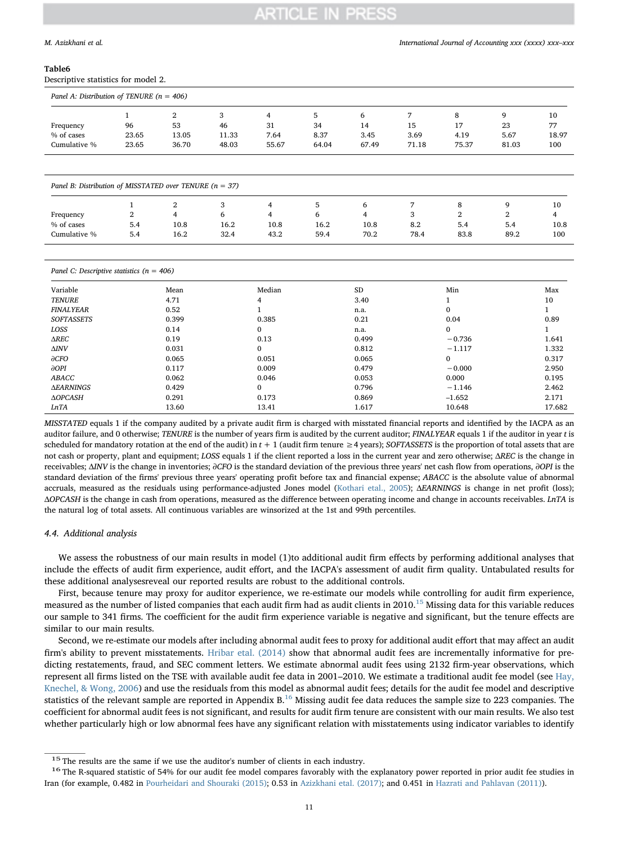# <span id="page-10-0"></span>Table6

| Panel A: Distribution of TENURE ( $n = 406$ )               |                |       |       |       |       |       |       |                |                |       |
|-------------------------------------------------------------|----------------|-------|-------|-------|-------|-------|-------|----------------|----------------|-------|
|                                                             |                | 2     | 3     | 4     | 5     | 6     | 7     | 8              | 9              | 10    |
| Frequency                                                   | 96             | 53    | 46    | 31    | 34    | 14    | 15    | 17             | 23             | 77    |
| % of cases                                                  | 23.65          | 13.05 | 11.33 | 7.64  | 8.37  | 3.45  | 3.69  | 4.19           | 5.67           | 18.97 |
|                                                             |                |       |       |       |       |       |       |                |                |       |
| Cumulative %                                                | 23.65          | 36.70 | 48.03 | 55.67 | 64.04 | 67.49 | 71.18 | 75.37          | 81.03          | 100   |
| Panel B: Distribution of MISSTATED over TENURE ( $n = 37$ ) | 1              | 2     | 3     | 4     | 5     | 6     | 7     | 8              | 9              | 10    |
| Frequency                                                   | $\overline{2}$ | 4     | 6     | 4     | 6     | 4     | 3     | $\overline{2}$ | $\overline{2}$ | 4     |
| % of cases                                                  | 5.4            | 10.8  | 16.2  | 10.8  | 16.2  | 10.8  | 8.2   | 5.4            | 5.4            | 10.8  |

| Variable           | Mean  | Median       | <b>SD</b> | Min          | Max    |
|--------------------|-------|--------------|-----------|--------------|--------|
| <b>TENURE</b>      | 4.71  | 4            | 3.40      |              | 10     |
| <b>FINALYEAR</b>   | 0.52  |              | n.a.      | $\Omega$     |        |
| <b>SOFTASSETS</b>  | 0.399 | 0.385        | 0.21      | 0.04         | 0.89   |
| LOSS               | 0.14  | $\mathbf{0}$ | n.a.      | $\Omega$     |        |
| $\triangle$ REC    | 0.19  | 0.13         | 0.499     | $-0.736$     | 1.641  |
| $\triangle INV$    | 0.031 | $\mathbf{0}$ | 0.812     | $-1.117$     | 1.332  |
| $\partial CFO$     | 0.065 | 0.051        | 0.065     | $\mathbf{0}$ | 0.317  |
| $\partial OPI$     | 0.117 | 0.009        | 0.479     | $-0.000$     | 2.950  |
| ABACC              | 0.062 | 0.046        | 0.053     | 0.000        | 0.195  |
| <b>AEARNINGS</b>   | 0.429 | $\mathbf{0}$ | 0.796     | $-1.146$     | 2.462  |
| $\triangle$ OPCASH | 0.291 | 0.173        | 0.869     | $-1.652$     | 2.171  |
| LnTA               | 13.60 | 13.41        | 1.617     | 10.648       | 17.682 |

MISSTATED equals 1 if the company audited by a private audit firm is charged with misstated financial reports and identified by the IACPA as an auditor failure, and 0 otherwise; TENURE is the number of years firm is audited by the current auditor; FINALYEAR equals 1 if the auditor in year t is scheduled for mandatory rotation at the end of the audit) in  $t + 1$  (audit firm tenure  $\geq 4$  years); SOFTASSETS is the proportion of total assets that are not cash or property, plant and equipment; LOSS equals 1 if the client reported a loss in the current year and zero otherwise; ΔREC is the change in receivables; ΔINV is the change in inventories; ∂CFO is the standard deviation of the previous three years' net cash flow from operations, ∂OPI is the standard deviation of the firms' previous three years' operating profit before tax and financial expense; ABACC is the absolute value of abnormal accruals, measured as the residuals using performance-adjusted Jones model ([Kothari etal., 2005\)](#page-14-45); ΔEARNINGS is change in net profit (loss); ΔOPCASH is the change in cash from operations, measured as the difference between operating income and change in accounts receivables. LnTA is the natural log of total assets. All continuous variables are winsorized at the 1st and 99th percentiles.

### 4.4. Additional analysis

We assess the robustness of our main results in model (1)to additional audit firm effects by performing additional analyses that include the effects of audit firm experience, audit effort, and the IACPA's assessment of audit firm quality. Untabulated results for these additional analysesreveal our reported results are robust to the additional controls.

First, because tenure may proxy for auditor experience, we re-estimate our models while controlling for audit firm experience, measured as the number of listed companies that each audit firm had as audit clients in 2010.<sup>[15](#page-10-1)</sup> Missing data for this variable reduces our sample to 341 firms. The coefficient for the audit firm experience variable is negative and significant, but the tenure effects are similar to our main results.

Second, we re-estimate our models after including abnormal audit fees to proxy for additional audit effort that may affect an audit firm's ability to prevent misstatements. [Hribar etal. \(2014\)](#page-14-13) show that abnormal audit fees are incrementally informative for predicting restatements, fraud, and SEC comment letters. We estimate abnormal audit fees using 2132 firm-year observations, which represent all firms listed on the TSE with available audit fee data in 2001–2010. We estimate a traditional audit fee model (see [Hay,](#page-14-53) [Knechel, & Wong, 2006\)](#page-14-53) and use the residuals from this model as abnormal audit fees; details for the audit fee model and descriptive statistics of the relevant sample are reported in Appendix B.<sup>[16](#page-10-2)</sup> Missing audit fee data reduces the sample size to 223 companies. The coefficient for abnormal audit fees is not significant, and results for audit firm tenure are consistent with our main results. We also test whether particularly high or low abnormal fees have any significant relation with misstatements using indicator variables to identify

<span id="page-10-2"></span><span id="page-10-1"></span><sup>&</sup>lt;sup>15</sup> The results are the same if we use the auditor's number of clients in each industry.<br><sup>16</sup> The R-squared statistic of 54% for our audit fee model compares favorably with the explanatory power reported in prior audit fe Iran (for example, 0.482 in [Pourheidari and Shouraki \(2015\);](#page-14-54) 0.53 in [Azizkhani etal. \(2017\);](#page-14-17) and 0.451 in [Hazrati and Pahlavan \(2011\)\)](#page-14-55).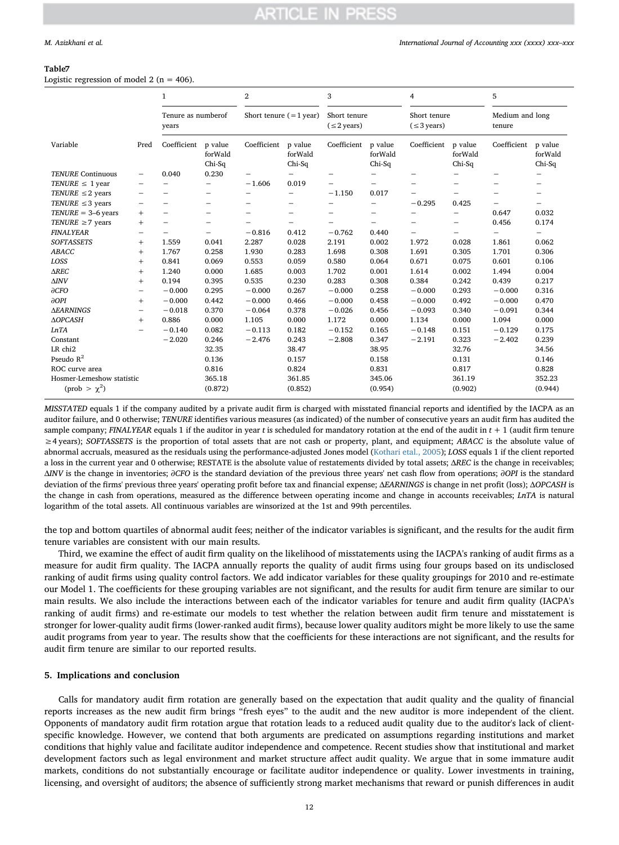#### <span id="page-11-0"></span>Table7

Logistic regression of model 2 ( $n = 406$ ).

|                               |                          | $\mathbf{1}$                |                              | $\overline{2}$           |                              | 3                                |                              | 4                              |                              | 5                         |                              |
|-------------------------------|--------------------------|-----------------------------|------------------------------|--------------------------|------------------------------|----------------------------------|------------------------------|--------------------------------|------------------------------|---------------------------|------------------------------|
|                               |                          | Tenure as numberof<br>years |                              | Short tenure $(=1$ year) |                              | Short tenure<br>$(\leq 2 years)$ |                              | Short tenure<br>$($ ≤ 3 years) |                              | Medium and long<br>tenure |                              |
| Variable                      | Pred                     | Coefficient                 | p value<br>forWald<br>Chi-Sq | Coefficient              | p value<br>forWald<br>Chi-Sq | Coefficient                      | p value<br>forWald<br>Chi-Sq | Coefficient                    | p value<br>forWald<br>Chi-Sq | Coefficient               | p value<br>forWald<br>Chi-Sq |
| <b>TENURE Continuous</b>      | -                        | 0.040                       | 0.230                        | -                        | -                            | $\overline{\phantom{0}}$         | -                            | -                              |                              | -                         |                              |
| $TENURE \leq 1$ year          | $\overline{\phantom{0}}$ |                             | $\overline{\phantom{0}}$     | $-1.606$                 | 0.019                        | $\overline{\phantom{0}}$         | -                            |                                | $\overline{\phantom{0}}$     | -                         | $\overline{\phantom{0}}$     |
| $TENURE \leq 2$ years         | -                        |                             | -                            |                          | $\overline{\phantom{0}}$     | $-1.150$                         | 0.017                        | -                              | -                            | -                         | $\qquad \qquad -$            |
| $TENURE \leq 3 \text{ years}$ | -                        | -                           | $\overline{\phantom{0}}$     | -                        | -                            | -                                | -                            | $-0.295$                       | 0.425                        | -                         | $\qquad \qquad -$            |
| $TENURE = 3-6$ years          | $+$                      | $\overline{\phantom{0}}$    | $\overline{\phantom{0}}$     |                          | $\overline{\phantom{0}}$     | $\overline{\phantom{0}}$         | -                            | $\overline{\phantom{0}}$       | -                            | 0.647                     | 0.032                        |
| $TENURE \ge 7$ years          | $+$                      |                             |                              |                          |                              | $\overline{\phantom{0}}$         | -                            |                                | -                            | 0.456                     | 0.174                        |
| <b>FINALYEAR</b>              | $\overline{\phantom{0}}$ | $\overline{\phantom{0}}$    | $\overline{\phantom{0}}$     | $-0.816$                 | 0.412                        | $-0.762$                         | 0.440                        | $\overline{\phantom{0}}$       | $\overline{\phantom{0}}$     | -                         | $\qquad \qquad -$            |
| <b>SOFTASSETS</b>             | $+$                      | 1.559                       | 0.041                        | 2.287                    | 0.028                        | 2.191                            | 0.002                        | 1.972                          | 0.028                        | 1.861                     | 0.062                        |
| <b>ABACC</b>                  | $+$                      | 1.767                       | 0.258                        | 1.930                    | 0.283                        | 1.698                            | 0.308                        | 1.691                          | 0.305                        | 1.701                     | 0.306                        |
| LOSS                          | $+$                      | 0.841                       | 0.069                        | 0.553                    | 0.059                        | 0.580                            | 0.064                        | 0.671                          | 0.075                        | 0.601                     | 0.106                        |
| $\triangle$ REC               | $+$                      | 1.240                       | 0.000                        | 1.685                    | 0.003                        | 1.702                            | 0.001                        | 1.614                          | 0.002                        | 1.494                     | 0.004                        |
| $\triangle INV$               | $+$                      | 0.194                       | 0.395                        | 0.535                    | 0.230                        | 0.283                            | 0.308                        | 0.384                          | 0.242                        | 0.439                     | 0.217                        |
| $\partial$ CFO                | -                        | $-0.000$                    | 0.295                        | $-0.000$                 | 0.267                        | $-0.000$                         | 0.258                        | $-0.000$                       | 0.293                        | $-0.000$                  | 0.316                        |
| $\partial OPI$                | $+$                      | $-0.000$                    | 0.442                        | $-0.000$                 | 0.466                        | $-0.000$                         | 0.458                        | $-0.000$                       | 0.492                        | $-0.000$                  | 0.470                        |
| <b>AEARNINGS</b>              | -                        | $-0.018$                    | 0.370                        | $-0.064$                 | 0.378                        | $-0.026$                         | 0.456                        | $-0.093$                       | 0.340                        | $-0.091$                  | 0.344                        |
| <b>AOPCASH</b>                | $+$                      | 0.886                       | 0.000                        | 1.105                    | 0.000                        | 1.172                            | 0.000                        | 1.134                          | 0.000                        | 1.094                     | 0.000                        |
| LnTA                          | $\overline{\phantom{0}}$ | $-0.140$                    | 0.082                        | $-0.113$                 | 0.182                        | $-0.152$                         | 0.165                        | $-0.148$                       | 0.151                        | $-0.129$                  | 0.175                        |
| Constant                      |                          | $-2.020$                    | 0.246                        | $-2.476$                 | 0.243                        | $-2.808$                         | 0.347                        | $-2.191$                       | 0.323                        | $-2.402$                  | 0.239                        |
| LR chi2                       |                          |                             | 32.35                        |                          | 38.47                        |                                  | 38.95                        |                                | 32.76                        |                           | 34.56                        |
| Pseudo $\mathbf{R}^2$         |                          |                             | 0.136                        |                          | 0.157                        |                                  | 0.158                        |                                | 0.131                        |                           | 0.146                        |
| ROC curve area                |                          |                             | 0.816                        |                          | 0.824                        |                                  | 0.831                        |                                | 0.817                        |                           | 0.828                        |
| Hosmer-Lemeshow statistic     |                          |                             | 365.18                       |                          | 361.85                       |                                  | 345.06                       |                                | 361.19                       |                           | 352.23                       |
| $(\text{prob} > \chi^2)$      |                          |                             | (0.872)                      |                          | (0.852)                      |                                  | (0.954)                      |                                | (0.902)                      |                           | (0.944)                      |

MISSTATED equals 1 if the company audited by a private audit firm is charged with misstated financial reports and identified by the IACPA as an auditor failure, and 0 otherwise; TENURE identifies various measures (as indicated) of the number of consecutive years an audit firm has audited the sample company; FINALYEAR equals 1 if the auditor in year t is scheduled for mandatory rotation at the end of the audit in  $t + 1$  (audit firm tenure ≥4 years); SOFTASSETS is the proportion of total assets that are not cash or property, plant, and equipment; ABACC is the absolute value of abnormal accruals, measured as the residuals using the performance-adjusted Jones model ([Kothari etal., 2005\)](#page-14-45); LOSS equals 1 if the client reported a loss in the current year and 0 otherwise; RESTATE is the absolute value of restatements divided by total assets; ΔREC is the change in receivables; ΔINV is the change in inventories; ∂CFO is the standard deviation of the previous three years' net cash flow from operations; ∂OPI is the standard deviation of the firms' previous three years' operating profit before tax and financial expense; ΔEARNINGS is change in net profit (loss); ΔOPCASH is the change in cash from operations, measured as the difference between operating income and change in accounts receivables; LnTA is natural logarithm of the total assets. All continuous variables are winsorized at the 1st and 99th percentiles.

the top and bottom quartiles of abnormal audit fees; neither of the indicator variables is significant, and the results for the audit firm tenure variables are consistent with our main results.

Third, we examine the effect of audit firm quality on the likelihood of misstatements using the IACPA's ranking of audit firms as a measure for audit firm quality. The IACPA annually reports the quality of audit firms using four groups based on its undisclosed ranking of audit firms using quality control factors. We add indicator variables for these quality groupings for 2010 and re-estimate our Model 1. The coefficients for these grouping variables are not significant, and the results for audit firm tenure are similar to our main results. We also include the interactions between each of the indicator variables for tenure and audit firm quality (IACPA's ranking of audit firms) and re-estimate our models to test whether the relation between audit firm tenure and misstatement is stronger for lower-quality audit firms (lower-ranked audit firms), because lower quality auditors might be more likely to use the same audit programs from year to year. The results show that the coefficients for these interactions are not significant, and the results for audit firm tenure are similar to our reported results.

## 5. Implications and conclusion

Calls for mandatory audit firm rotation are generally based on the expectation that audit quality and the quality of financial reports increases as the new audit firm brings "fresh eyes" to the audit and the new auditor is more independent of the client. Opponents of mandatory audit firm rotation argue that rotation leads to a reduced audit quality due to the auditor's lack of clientspecific knowledge. However, we contend that both arguments are predicated on assumptions regarding institutions and market conditions that highly value and facilitate auditor independence and competence. Recent studies show that institutional and market development factors such as legal environment and market structure affect audit quality. We argue that in some immature audit markets, conditions do not substantially encourage or facilitate auditor independence or quality. Lower investments in training, licensing, and oversight of auditors; the absence of sufficiently strong market mechanisms that reward or punish differences in audit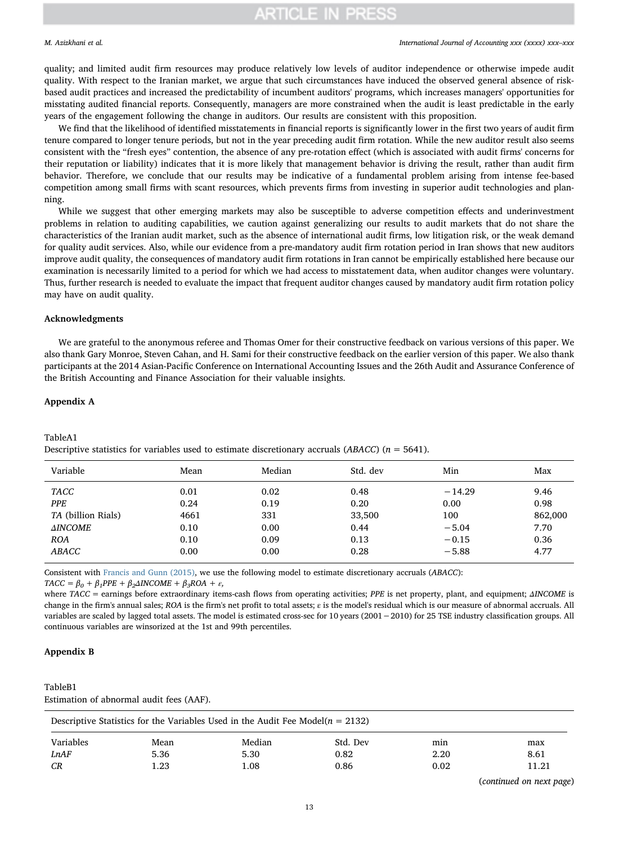quality; and limited audit firm resources may produce relatively low levels of auditor independence or otherwise impede audit quality. With respect to the Iranian market, we argue that such circumstances have induced the observed general absence of riskbased audit practices and increased the predictability of incumbent auditors' programs, which increases managers' opportunities for misstating audited financial reports. Consequently, managers are more constrained when the audit is least predictable in the early years of the engagement following the change in auditors. Our results are consistent with this proposition.

We find that the likelihood of identified misstatements in financial reports is significantly lower in the first two years of audit firm tenure compared to longer tenure periods, but not in the year preceding audit firm rotation. While the new auditor result also seems consistent with the "fresh eyes" contention, the absence of any pre-rotation effect (which is associated with audit firms' concerns for their reputation or liability) indicates that it is more likely that management behavior is driving the result, rather than audit firm behavior. Therefore, we conclude that our results may be indicative of a fundamental problem arising from intense fee-based competition among small firms with scant resources, which prevents firms from investing in superior audit technologies and planning.

While we suggest that other emerging markets may also be susceptible to adverse competition effects and underinvestment problems in relation to auditing capabilities, we caution against generalizing our results to audit markets that do not share the characteristics of the Iranian audit market, such as the absence of international audit firms, low litigation risk, or the weak demand for quality audit services. Also, while our evidence from a pre-mandatory audit firm rotation period in Iran shows that new auditors improve audit quality, the consequences of mandatory audit firm rotations in Iran cannot be empirically established here because our examination is necessarily limited to a period for which we had access to misstatement data, when auditor changes were voluntary. Thus, further research is needed to evaluate the impact that frequent auditor changes caused by mandatory audit firm rotation policy may have on audit quality.

### Acknowledgments

We are grateful to the anonymous referee and Thomas Omer for their constructive feedback on various versions of this paper. We also thank Gary Monroe, Steven Cahan, and H. Sami for their constructive feedback on the earlier version of this paper. We also thank participants at the 2014 Asian-Pacific Conference on International Accounting Issues and the 26th Audit and Assurance Conference of the British Accounting and Finance Association for their valuable insights.

### Appendix A

TableA1

Descriptive statistics for variables used to estimate discretionary accruals ( $ABACC$ ) ( $n = 5641$ ).

| Variable           | Mean | Median | Std. dev | Min      | Max     |
|--------------------|------|--------|----------|----------|---------|
| <b>TACC</b>        | 0.01 | 0.02   | 0.48     | $-14.29$ | 9.46    |
| <b>PPE</b>         | 0.24 | 0.19   | 0.20     | 0.00     | 0.98    |
| TA (billion Rials) | 4661 | 331    | 33,500   | 100      | 862,000 |
| <b>AINCOME</b>     | 0.10 | 0.00   | 0.44     | $-5.04$  | 7.70    |
| <b>ROA</b>         | 0.10 | 0.09   | 0.13     | $-0.15$  | 0.36    |
| ABACC              | 0.00 | 0.00   | 0.28     | $-5.88$  | 4.77    |

Consistent with [Francis and Gunn \(2015\)](#page-14-49), we use the following model to estimate discretionary accruals (ABACC):

TACC =  $\beta_0 + \beta_1 PPE + \beta_2 \Delta INCOME + \beta_3 ROA + \varepsilon$ ,

where TACC = earnings before extraordinary items-cash flows from operating activities; PPE is net property, plant, and equipment; ΔINCOME is change in the firm's annual sales; ROA is the firm's net profit to total assets; ε is the model's residual which is our measure of abnormal accruals. All variables are scaled by lagged total assets. The model is estimated cross-sec for 10 years (2001−2010) for 25 TSE industry classification groups. All continuous variables are winsorized at the 1st and 99th percentiles.

# Appendix B

## TableB1

Estimation of abnormal audit fees (AAF).

| Descriptive Statistics for the Variables Used in the Audit Fee Model( $n = 2132$ ) |      |          |          |      |       |  |
|------------------------------------------------------------------------------------|------|----------|----------|------|-------|--|
| Variables                                                                          | Mean | Median   | Std. Dev | min  | max   |  |
| LnAF                                                                               | 5.36 | 5.30     | 0.82     | 2.20 | 8.61  |  |
| <b>CR</b>                                                                          | 1.23 | $1.08\,$ | 0.86     | 0.02 | 11.21 |  |

(continued on next page)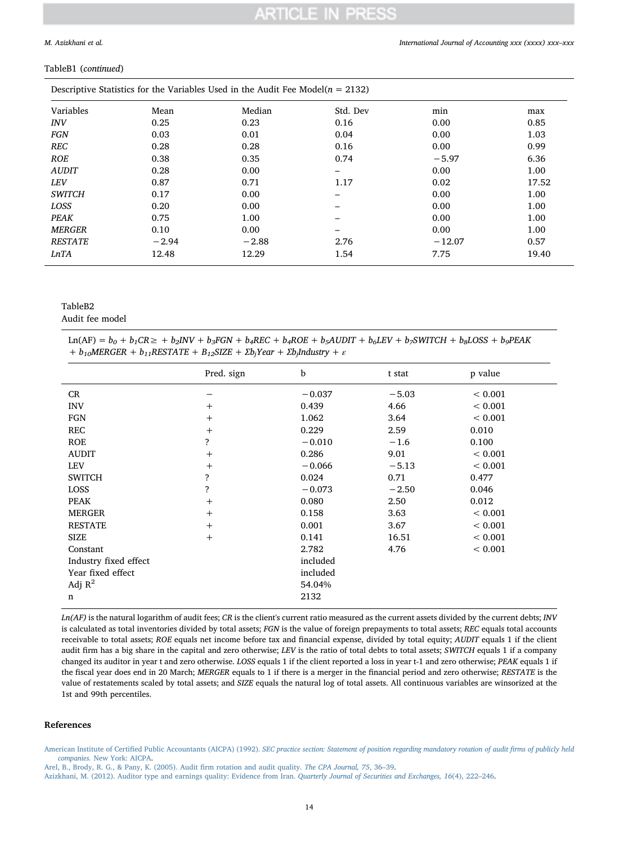## TableB1 (continued)

| Descriptive Statistics for the Variables Used in the Audit Fee Model( $n = 2132$ ) |         |         |          |          |       |
|------------------------------------------------------------------------------------|---------|---------|----------|----------|-------|
| Variables                                                                          | Mean    | Median  | Std. Dev | min      | max   |
| <b>INV</b>                                                                         | 0.25    | 0.23    | 0.16     | 0.00     | 0.85  |
| <b>FGN</b>                                                                         | 0.03    | 0.01    | 0.04     | 0.00     | 1.03  |
| <b>REC</b>                                                                         | 0.28    | 0.28    | 0.16     | 0.00     | 0.99  |
| ROE                                                                                | 0.38    | 0.35    | 0.74     | $-5.97$  | 6.36  |
| <b>AUDIT</b>                                                                       | 0.28    | 0.00    | -        | 0.00     | 1.00  |
| LEV                                                                                | 0.87    | 0.71    | 1.17     | 0.02     | 17.52 |
| <b>SWITCH</b>                                                                      | 0.17    | 0.00    | -        | 0.00     | 1.00  |
| LOSS                                                                               | 0.20    | 0.00    |          | 0.00     | 1.00  |
| PEAK                                                                               | 0.75    | 1.00    |          | 0.00     | 1.00  |
| <b>MERGER</b>                                                                      | 0.10    | 0.00    |          | 0.00     | 1.00  |
| <b>RESTATE</b>                                                                     | $-2.94$ | $-2.88$ | 2.76     | $-12.07$ | 0.57  |
| LnTA                                                                               | 12.48   | 12.29   | 1.54     | 7.75     | 19.40 |

## TableB2 Audit fee model

| $\text{Ln}(AF) = b_0 + b_1CR \geq b_2\text{INV} + b_3\text{FGN} + b_4\text{REC} + b_4\text{ROE} + b_5\text{ADDT} + b_6\text{LEV} + b_7\text{SWITCH} + b_8\text{LOSS} + b_9\text{PEAK}$ |  |
|----------------------------------------------------------------------------------------------------------------------------------------------------------------------------------------|--|
| $+ b_{10}$ MERGER $+ b_{11}$ RESTATE $+ B_{12}$ SIZE $+ \Sigma b_i$ Year $+ \Sigma b_i$ Industry $+ \varepsilon$                                                                       |  |

|                       | Pred. sign | b        | t stat  | p value     |
|-----------------------|------------|----------|---------|-------------|
| CR                    |            | $-0.037$ | $-5.03$ | ${}< 0.001$ |
| <b>INV</b>            | $+$        | 0.439    | 4.66    | ${}< 0.001$ |
| FGN                   | $+$        | 1.062    | 3.64    | ${}< 0.001$ |
| <b>REC</b>            | $+$        | 0.229    | 2.59    | 0.010       |
| <b>ROE</b>            | ?          | $-0.010$ | $-1.6$  | 0.100       |
| <b>AUDIT</b>          | $+$        | 0.286    | 9.01    | ${}< 0.001$ |
| <b>LEV</b>            | $+$        | $-0.066$ | $-5.13$ | ${}< 0.001$ |
| <b>SWITCH</b>         | ?          | 0.024    | 0.71    | 0.477       |
| <b>LOSS</b>           | ?          | $-0.073$ | $-2.50$ | 0.046       |
| <b>PEAK</b>           | $+$        | 0.080    | 2.50    | 0.012       |
| <b>MERGER</b>         | $+$        | 0.158    | 3.63    | ${}< 0.001$ |
| <b>RESTATE</b>        | $+$        | 0.001    | 3.67    | ${}< 0.001$ |
| <b>SIZE</b>           | $+$        | 0.141    | 16.51   | ${}< 0.001$ |
| Constant              |            | 2.782    | 4.76    | ${}< 0.001$ |
| Industry fixed effect |            | included |         |             |
| Year fixed effect     |            | included |         |             |
| Adj $R^2$             |            | 54.04%   |         |             |
| n                     |            | 2132     |         |             |

Ln(AF) is the natural logarithm of audit fees; CR is the client's current ratio measured as the current assets divided by the current debts; INV is calculated as total inventories divided by total assets; FGN is the value of foreign prepayments to total assets; REC equals total accounts receivable to total assets; ROE equals net income before tax and financial expense, divided by total equity; AUDIT equals 1 if the client audit firm has a big share in the capital and zero otherwise; LEV is the ratio of total debts to total assets; SWITCH equals 1 if a company changed its auditor in year t and zero otherwise. LOSS equals 1 if the client reported a loss in year t-1 and zero otherwise; PEAK equals 1 if the fiscal year does end in 20 March; MERGER equals to 1 if there is a merger in the financial period and zero otherwise; RESTATE is the value of restatements scaled by total assets; and SIZE equals the natural log of total assets. All continuous variables are winsorized at the 1st and 99th percentiles.

# References

<span id="page-13-0"></span>American Institute of Certified Public Accountants (AICPA) (1992). [SEC practice section: Statement of position regarding mandatory rotation of audit](http://refhub.elsevier.com/S0020-7063(18)30207-3/rf0005) firms of publicly held companies. [New York: AICPA.](http://refhub.elsevier.com/S0020-7063(18)30207-3/rf0005)

<span id="page-13-1"></span>[Arel, B., Brody, R. G., & Pany, K. \(2005\). Audit](http://refhub.elsevier.com/S0020-7063(18)30207-3/rf0010) firm rotation and audit quality. The CPA Journal, 75, 36–39.

<span id="page-13-2"></span>[Azizkhani, M. \(2012\). Auditor type and earnings quality: Evidence from Iran.](http://refhub.elsevier.com/S0020-7063(18)30207-3/rf0015) Quarterly Journal of Securities and Exchanges, 16(4), 222–246.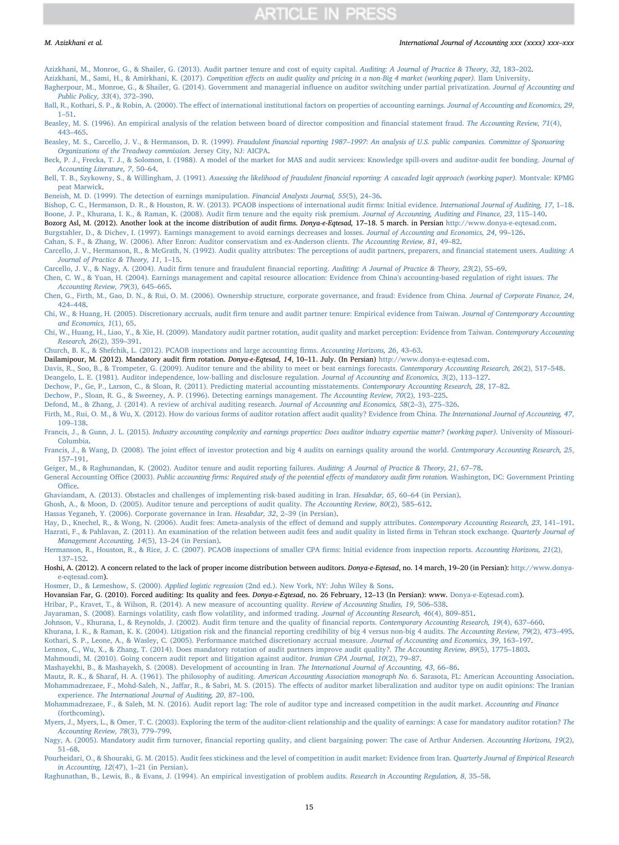#### M. Azizkhani et al. *International Journal of Accounting xxx (xxxx) xxx–xxx*

<span id="page-14-24"></span>[Azizkhani, M., Monroe, G., & Shailer, G. \(2013\). Audit partner tenure and cost of equity capital.](http://refhub.elsevier.com/S0020-7063(18)30207-3/rf0020) Auditing: A Journal of Practice & Theory, 32, 183–202.

<span id="page-14-17"></span>Azizkhani, M., Sami, H., & Amirkhani, K. (2017). Competition eff[ects on audit quality and pricing in a non-Big 4 market \(working paper\).](http://refhub.elsevier.com/S0020-7063(18)30207-3/rf0025) Ilam University.

<span id="page-14-8"></span>[Bagherpour, M., Monroe, G., & Shailer, G. \(2014\). Government and managerial in](http://refhub.elsevier.com/S0020-7063(18)30207-3/rf0030)fluence on auditor switching under partial privatization. Journal of Accounting and [Public Policy, 33](http://refhub.elsevier.com/S0020-7063(18)30207-3/rf0030)(4), 372–390.

<span id="page-14-27"></span>Ball, R., Kothari, S. P., & Robin, A. (2000). The eff[ect of international institutional factors on properties of accounting earnings.](http://refhub.elsevier.com/S0020-7063(18)30207-3/rf0035) Journal of Accounting and Economics, 29,  $1 - 51$ .

<span id="page-14-42"></span>[Beasley, M. S. \(1996\). An empirical analysis of the relation between board of director composition and](http://refhub.elsevier.com/S0020-7063(18)30207-3/rf0040) financial statement fraud. The Accounting Review, 71(4), 443–[465.](http://refhub.elsevier.com/S0020-7063(18)30207-3/rf0040)

<span id="page-14-40"></span>Beasley, M. S., Carcello, J. V., & Hermanson, D. R. (1999). Fraudulent financial reporting 1987-[1997: An analysis of U.S. public companies. Committee of Sponsoring](http://refhub.elsevier.com/S0020-7063(18)30207-3/rf0045) [Organizations of the Treadway commission.](http://refhub.elsevier.com/S0020-7063(18)30207-3/rf0045) Jersey City, NJ: AICPA.

<span id="page-14-7"></span>[Beck, P. J., Frecka, T. J., & Solomon, I. \(1988\). A model of the market for MAS and audit services: Knowledge spill-overs and auditor-audit fee bonding.](http://refhub.elsevier.com/S0020-7063(18)30207-3/rf0050) Journal of [Accounting Literature, 7](http://refhub.elsevier.com/S0020-7063(18)30207-3/rf0050), 50–64.

<span id="page-14-47"></span>Bell, T. B., Szykowny, S., & Willingham, J. (1991). Assessing the likelihood of fraudulent fi[nancial reporting: A cascaded logit approach \(working paper\).](http://refhub.elsevier.com/S0020-7063(18)30207-3/rf0055) Montvale: KPMG [peat Marwick.](http://refhub.elsevier.com/S0020-7063(18)30207-3/rf0055)

<span id="page-14-41"></span>[Beneish, M. D. \(1999\). The detection of earnings manipulation.](http://refhub.elsevier.com/S0020-7063(18)30207-3/rf0060) Financial Analysts Journal, 55(5), 24–36.

<span id="page-14-36"></span><span id="page-14-10"></span>[Bishop, C. C., Hermanson, D. R., & Houston, R. W. \(2013\). PCAOB inspections of international audit](http://refhub.elsevier.com/S0020-7063(18)30207-3/rf0065) firms: Initial evidence. International Journal of Auditing, 17, 1–18. [Boone, J. P., Khurana, I. K., & Raman, K. \(2008\). Audit](http://refhub.elsevier.com/S0020-7063(18)30207-3/rf0070) firm tenure and the equity risk premium. Journal of Accounting, Auditing and Finance, 23, 115–140.

<span id="page-14-50"></span><span id="page-14-9"></span>Bozorg Asl, M. (2012). Another look at the income distribution of audit firms. Donya-e-Eqtesad, 17–18. 5 march. in Persian <http://www.donya-e-eqtesad.com>. [Burgstahler, D., & Dichev, I. \(1997\). Earnings management to avoid earnings decreases and losses.](http://refhub.elsevier.com/S0020-7063(18)30207-3/rf0080) Journal of Accounting and Economics, 24, 99–126.

<span id="page-14-22"></span>[Cahan, S. F., & Zhang, W. \(2006\). After Enron: Auditor conservatism and ex-Anderson clients.](http://refhub.elsevier.com/S0020-7063(18)30207-3/rf0085) The Accounting Review, 81, 49–82.

<span id="page-14-32"></span>Carcello, [J. V., Hermanson, R., & McGrath, N. \(1992\). Audit quality attributes: The perceptions of audit partners, preparers, and](http://refhub.elsevier.com/S0020-7063(18)30207-3/rf0090) financial statement users. Auditing: A [Journal of Practice & Theory, 11](http://refhub.elsevier.com/S0020-7063(18)30207-3/rf0090), 1–15.

<span id="page-14-25"></span>Carcello, J. V., & Nagy, A. (2004). Audit firm tenure and fraudulent financial reporting. [Auditing: A Journal of Practice & Theory, 23](http://refhub.elsevier.com/S0020-7063(18)30207-3/rf0095)(2), 55–69.

<span id="page-14-52"></span>[Chen, C. W., & Yuan, H. \(2004\). Earnings management and capital resource allocation: Evidence from China's accounting-based regulation of right issues.](http://refhub.elsevier.com/S0020-7063(18)30207-3/rf0100) The [Accounting Review, 79](http://refhub.elsevier.com/S0020-7063(18)30207-3/rf0100)(3), 645–665.

<span id="page-14-51"></span>[Chen, G., Firth, M., Gao, D. N., & Rui, O. M. \(2006\). Ownership structure, corporate governance, and fraud: Evidence from China.](http://refhub.elsevier.com/S0020-7063(18)30207-3/rf0105) Journal of Corporate Finance, 24, 424–[448.](http://refhub.elsevier.com/S0020-7063(18)30207-3/rf0105)

<span id="page-14-35"></span>Chi, W., & Huang, H. (2005). Discretionary accruals, audit fi[rm tenure and audit partner tenure: Empirical evidence from Taiwan.](http://refhub.elsevier.com/S0020-7063(18)30207-3/rf0110) Journal of Contemporary Accounting [and Economics, 1](http://refhub.elsevier.com/S0020-7063(18)30207-3/rf0110)(1), 65.

<span id="page-14-15"></span>[Chi, W., Huang, H., Liao, Y., & Xie, H. \(2009\). Mandatory audit partner rotation, audit quality and market perception: Evidence from Taiwan.](http://refhub.elsevier.com/S0020-7063(18)30207-3/rf0115) Contemporary Accounting [Research, 26](http://refhub.elsevier.com/S0020-7063(18)30207-3/rf0115)(2), 359–391.

<span id="page-14-11"></span>[Church, B. K., & Shefchik, L. \(2012\). PCAOB inspections and large accounting](http://refhub.elsevier.com/S0020-7063(18)30207-3/rf0120) firms. Accounting Horizons, 26, 43–63.

<span id="page-14-37"></span><span id="page-14-30"></span>Dailamipour, M. (2012). Mandatory audit firm rotation. Donya-e-Eqtesad, 14, 10–11. July. (In Persian) <http://www.donya-e-eqtesad.com>. [Davis, R., Soo, B., & Trompeter, G. \(2009\). Auditor tenure and the ability to meet or beat earnings forecasts.](http://refhub.elsevier.com/S0020-7063(18)30207-3/rf0130) Contemporary Accounting Research, 26(2), 517–548.

<span id="page-14-1"></span>[Deangelo, L. E. \(1981\). Auditor independence, low-balling and disclosure regulation.](http://refhub.elsevier.com/S0020-7063(18)30207-3/rf0135) Journal of Accounting and Economics, 3(2), 113–127.

<span id="page-14-46"></span>[Dechow, P., Ge, P., Larson, C., & Sloan, R. \(2011\). Predicting material accounting misstatements.](http://refhub.elsevier.com/S0020-7063(18)30207-3/rf0140) Contemporary Accounting Research, 28, 17–82.

<span id="page-14-43"></span>[Dechow, P., Sloan, R. G., & Sweeney, A. P. \(1996\). Detecting earnings management.](http://refhub.elsevier.com/S0020-7063(18)30207-3/rf0145) The Accounting Review, 70(2), 193–225.

<span id="page-14-14"></span>[Defond, M., & Zhang, J. \(2014\). A review of archival auditing research.](http://refhub.elsevier.com/S0020-7063(18)30207-3/rf0150) Journal of Accounting and Economics, 58(2–3), 275–326.

<span id="page-14-0"></span>[Firth, M., Rui, O. M., & Wu, X. \(2012\). How do various forms of auditor rotation a](http://refhub.elsevier.com/S0020-7063(18)30207-3/rf0155)ffect audit quality? Evidence from China. The International Journal of Accounting, 47, 109–[138.](http://refhub.elsevier.com/S0020-7063(18)30207-3/rf0155)

<span id="page-14-49"></span>Francis, J., & Gunn, J. L. (2015). [Industry accounting complexity and earnings properties: Does auditor industry expertise matter? \(working paper\).](http://refhub.elsevier.com/S0020-7063(18)30207-3/rf0160) University of Missouri-[Columbia](http://refhub.elsevier.com/S0020-7063(18)30207-3/rf0160).

<span id="page-14-28"></span>Francis, J., & Wang, D. (2008). The joint eff[ect of investor protection and big 4 audits on earnings quality around the world.](http://refhub.elsevier.com/S0020-7063(18)30207-3/rf0165) Contemporary Accounting Research, 25, 157–[191.](http://refhub.elsevier.com/S0020-7063(18)30207-3/rf0165)

<span id="page-14-6"></span>[Geiger, M., & Raghunandan, K. \(2002\). Auditor tenure and audit reporting failures.](http://refhub.elsevier.com/S0020-7063(18)30207-3/rf0170) Auditing: A Journal of Practice & Theory, 21, 67–78.

<span id="page-14-3"></span>General Accounting Office (2003). Public accounting firms: Required study of the potential effects of mandatory audit firm rotation. [Washington, DC: Government Printing](http://refhub.elsevier.com/S0020-7063(18)30207-3/rf0175) Offi[ce.](http://refhub.elsevier.com/S0020-7063(18)30207-3/rf0175)

<span id="page-14-33"></span>[Ghaviandam, A. \(2013\). Obstacles and challenges of implementing risk-based auditing in Iran.](http://refhub.elsevier.com/S0020-7063(18)30207-3/rf0180) Hesabdar, 65, 60–64 (in Persian).

<span id="page-14-26"></span>[Ghosh, A., & Moon, D. \(2005\). Auditor tenure and perceptions of audit quality.](http://refhub.elsevier.com/S0020-7063(18)30207-3/rf0185) The Accounting Review, 80(2), 585–612.

<span id="page-14-19"></span>[Hassas Yeganeh, Y. \(2006\). Corporate governance in Iran.](http://refhub.elsevier.com/S0020-7063(18)30207-3/rf0190) Hesabdar, 32, 2–39 (in Persian).

<span id="page-14-53"></span>[Hay, D., Knechel, R., & Wong, N. \(2006\). Audit fees: Ameta-analysis of the e](http://refhub.elsevier.com/S0020-7063(18)30207-3/rf0195)ffect of demand and supply attributes. Contemporary Accounting Research, 23, 141–191.

<span id="page-14-55"></span>[Hazrati, F., & Pahlavan, Z. \(2011\). An examination of the relation between audit fees and audit quality in listed](http://refhub.elsevier.com/S0020-7063(18)30207-3/rf0200) firms in Tehran stock exchange. Quarterly Journal of [Management Accounting, 14](http://refhub.elsevier.com/S0020-7063(18)30207-3/rf0200)(5), 13–24 (in Persian).

<span id="page-14-12"></span>[Hermanson, R., Houston, R., & Rice, J. C. \(2007\). PCAOB inspections of smaller CPA](http://refhub.elsevier.com/S0020-7063(18)30207-3/rf0205) firms: Initial evidence from inspection reports. Accounting Horizons, 21(2), 137–[152.](http://refhub.elsevier.com/S0020-7063(18)30207-3/rf0205)

<span id="page-14-31"></span>Hoshi, A. (2012). A concern related to the lack of proper income distribution between auditors. Donya-e-Eqtesad, no. 14 march, 19-20 (in Persian): [http://www.donya](http://www.donya-e-eqtesad.com)[e-eqtesad.com](http://www.donya-e-eqtesad.com)).

<span id="page-14-44"></span>Hosmer, D., & Lemeshow, S. (2000). Applied logistic regression [\(2nd ed.\). New York, NY: John Wiley & Sons.](http://refhub.elsevier.com/S0020-7063(18)30207-3/rf0210)

<span id="page-14-21"></span>Hovansian Far, G. (2010). Forced auditing: Its quality and fees. Donya-e-Eqtesad, no. 26 February, 12–13 (In Persian): www. [Donya-e-Eqtesad.com](http://Donya-e-Eqtesad.com)).

<span id="page-14-13"></span>[Hribar, P., Kravet, T., & Wilson, R. \(2014\). A new measure of accounting quality.](http://refhub.elsevier.com/S0020-7063(18)30207-3/rf0215) Review of Accounting Studies, 19, 506–538.

<span id="page-14-48"></span>[Jayaraman, S. \(2008\). Earnings volatility, cash](http://refhub.elsevier.com/S0020-7063(18)30207-3/rf0220) flow volatility, and informed trading. Journal of Accounting Research, 46(4), 809–851.

<span id="page-14-4"></span>[Johnson, V., Khurana, I., & Reynolds, J. \(2002\). Audit](http://refhub.elsevier.com/S0020-7063(18)30207-3/rf0225) firm tenure and the quality of financial reports. Contemporary Accounting Research, 19(4), 637–660.

<span id="page-14-29"></span>[Khurana, I. K., & Raman, K. K. \(2004\). Litigation risk and the](http://refhub.elsevier.com/S0020-7063(18)30207-3/rf0230) financial reporting credibility of big 4 versus non-big 4 audits. The Accounting Review, 79(2), 473-495.

<span id="page-14-45"></span>[Kothari, S. P., Leone, A., & Wasley, C. \(2005\). Performance matched discretionary accrual measure.](http://refhub.elsevier.com/S0020-7063(18)30207-3/rf0235) Journal of Accounting and Economics, 39, 163–197.

<span id="page-14-38"></span>[Lennox, C., Wu, X., & Zhang, T. \(2014\). Does mandatory rotation of audit partners improve audit quality](http://refhub.elsevier.com/S0020-7063(18)30207-3/rf0240)?. The Accounting Review, 89(5), 1775–1803.

<span id="page-14-20"></span>[Mahmoudi, M. \(2010\). Going concern audit report and litigation against auditor.](http://refhub.elsevier.com/S0020-7063(18)30207-3/rf0245) Iranian CPA Journal, 10(2), 79–87.

<span id="page-14-18"></span>[Mashayekhi, B., & Mashayekh, S. \(2008\). Development of accounting in Iran.](http://refhub.elsevier.com/S0020-7063(18)30207-3/rf0250) The International Journal of Accounting, 43, 66–86.

<span id="page-14-34"></span><span id="page-14-5"></span>[Mautz, R. K., & Sharaf, H. A. \(1961\). The philosophy of auditing.](http://refhub.elsevier.com/S0020-7063(18)30207-3/rf0255) American Accounting Association monograph No. 6. Sarasota, FL: American Accounting Association. Mohammadrezaee, F., Mohd-Saleh, N., Jaffar, R., & Sabri, M. S. (2015). The eff[ects of auditor market liberalization and auditor type on audit opinions: The Iranian](http://refhub.elsevier.com/S0020-7063(18)30207-3/rf0260) experience. [The International Journal of Auditing, 20](http://refhub.elsevier.com/S0020-7063(18)30207-3/rf0260), 87–100.

<span id="page-14-16"></span>[Mohammadrezaee, F., & Saleh, M. N. \(2016\). Audit report lag: The role of auditor type and increased competition in the audit market.](http://refhub.elsevier.com/S0020-7063(18)30207-3/rf0265) Accounting and Finance [\(forthcoming\)](http://refhub.elsevier.com/S0020-7063(18)30207-3/rf0265).

<span id="page-14-39"></span>[Myers, J., Myers, L., & Omer, T. C. \(2003\). Exploring the term of the auditor-client relationship and the quality of earnings: A case for mandatory auditor rotation?](http://refhub.elsevier.com/S0020-7063(18)30207-3/rf0270) The [Accounting Review, 78](http://refhub.elsevier.com/S0020-7063(18)30207-3/rf0270)(3), 779–799.

<span id="page-14-23"></span>Nagy, A. (2005). Mandatory audit firm turnover, fi[nancial reporting quality, and client bargaining power: The case of Arthur Andersen.](http://refhub.elsevier.com/S0020-7063(18)30207-3/rf0275) Accounting Horizons, 19(2), [51](http://refhub.elsevier.com/S0020-7063(18)30207-3/rf0275)–68.

<span id="page-14-54"></span>Pourheidari, [O., & Shouraki, G. M. \(2015\). Audit fees stickiness and the level of competition in audit market: Evidence from Iran.](http://refhub.elsevier.com/S0020-7063(18)30207-3/rf0280) Quarterly Journal of Empirical Research [in Accounting, 12](http://refhub.elsevier.com/S0020-7063(18)30207-3/rf0280)(47), 1–21 (in Persian).

<span id="page-14-2"></span>[Raghunathan, B., Lewis, B., & Evans, J. \(1994\). An empirical investigation of problem audits.](http://refhub.elsevier.com/S0020-7063(18)30207-3/rf0285) Research in Accounting Regulation, 8, 35–58.